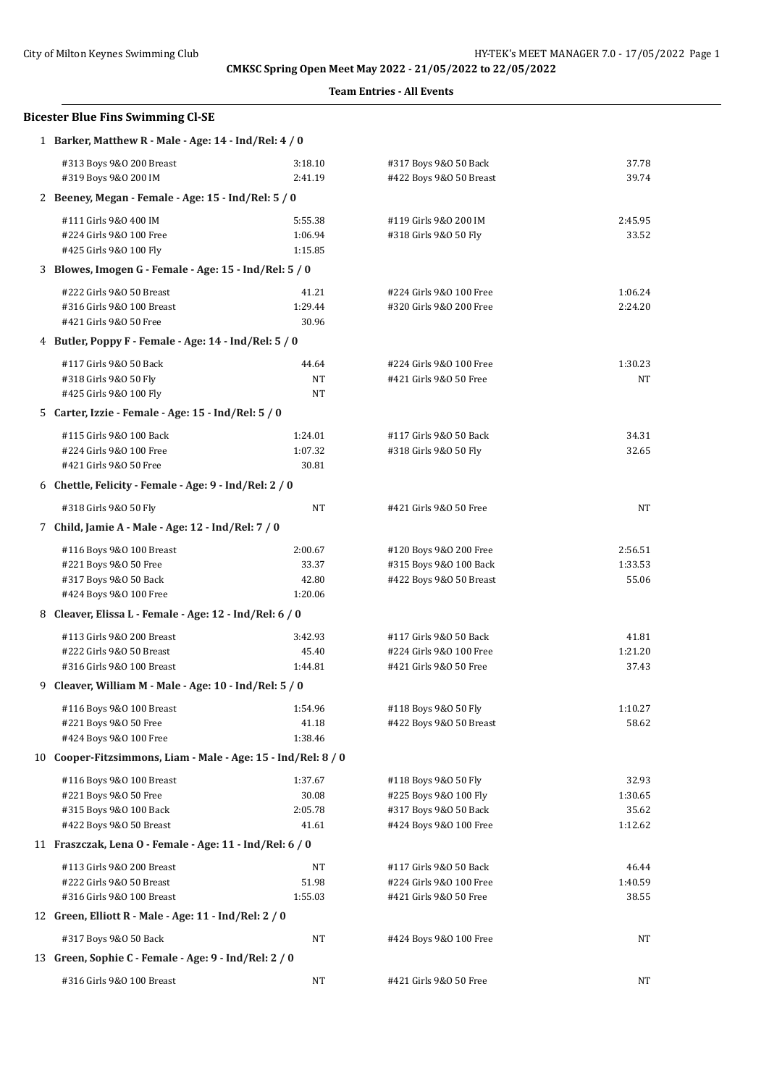| CMKSC Spring Open Meet May 2022 - 21/05/2022 to 22/05/2022    |                    |                                                  |                |  |  |  |
|---------------------------------------------------------------|--------------------|--------------------------------------------------|----------------|--|--|--|
|                                                               |                    | <b>Team Entries - All Events</b>                 |                |  |  |  |
| <b>Bicester Blue Fins Swimming Cl-SE</b>                      |                    |                                                  |                |  |  |  |
| 1 Barker, Matthew R - Male - Age: 14 - Ind/Rel: 4 / 0         |                    |                                                  |                |  |  |  |
| #313 Boys 9&0 200 Breast<br>#319 Boys 9&0 200 IM              | 3:18.10<br>2:41.19 | #317 Boys 9&0 50 Back<br>#422 Boys 9&0 50 Breast | 37.78<br>39.74 |  |  |  |
| 2 Beeney, Megan - Female - Age: 15 - Ind/Rel: 5 / 0           |                    |                                                  |                |  |  |  |
| #111 Girls 9&0 400 IM                                         | 5:55.38            | #119 Girls 9&0 200 IM                            | 2:45.95        |  |  |  |
| #224 Girls 9&0 100 Free                                       | 1:06.94            | #318 Girls 9&0 50 Fly                            | 33.52          |  |  |  |
| #425 Girls 9&0 100 Fly                                        | 1:15.85            |                                                  |                |  |  |  |
| 3 Blowes, Imogen G - Female - Age: 15 - Ind/Rel: 5 / 0        |                    |                                                  |                |  |  |  |
| #222 Girls 9&0 50 Breast                                      | 41.21              | #224 Girls 9&0 100 Free                          | 1:06.24        |  |  |  |
| #316 Girls 9&0 100 Breast                                     | 1:29.44            | #320 Girls 9&0 200 Free                          | 2:24.20        |  |  |  |
| #421 Girls 9&0 50 Free                                        | 30.96              |                                                  |                |  |  |  |
| 4 Butler, Poppy F - Female - Age: 14 - Ind/Rel: 5 / 0         |                    |                                                  |                |  |  |  |
| #117 Girls 9&0 50 Back                                        | 44.64              | #224 Girls 9&0 100 Free                          | 1:30.23        |  |  |  |
| #318 Girls 9&0 50 Fly                                         | NT                 | #421 Girls 9&0 50 Free                           | NT             |  |  |  |
| #425 Girls 9&0 100 Fly                                        | NT                 |                                                  |                |  |  |  |
| 5 Carter, Izzie - Female - Age: 15 - Ind/Rel: 5 / 0           |                    |                                                  |                |  |  |  |
| #115 Girls 9&0 100 Back                                       | 1:24.01            | #117 Girls 9&0 50 Back                           | 34.31          |  |  |  |
| #224 Girls 9&0 100 Free                                       | 1:07.32            | #318 Girls 9&0 50 Fly                            | 32.65          |  |  |  |
| #421 Girls 9&0 50 Free                                        | 30.81              |                                                  |                |  |  |  |
| 6 Chettle, Felicity - Female - Age: 9 - Ind/Rel: 2 / 0        |                    |                                                  |                |  |  |  |
| #318 Girls 9&0 50 Fly                                         | NT                 | #421 Girls 9&0 50 Free                           | <b>NT</b>      |  |  |  |
| 7 Child, Jamie A - Male - Age: 12 - Ind/Rel: 7 / 0            |                    |                                                  |                |  |  |  |
| #116 Boys 9&0 100 Breast                                      | 2:00.67            | #120 Boys 9&0 200 Free                           | 2:56.51        |  |  |  |
| #221 Boys 9&0 50 Free                                         | 33.37              | #315 Boys 9&0 100 Back                           | 1:33.53        |  |  |  |
| #317 Boys 9&0 50 Back                                         | 42.80              | #422 Boys 9&0 50 Breast                          | 55.06          |  |  |  |
| #424 Boys 9&0 100 Free                                        | 1:20.06            |                                                  |                |  |  |  |
| 8 Cleaver, Elissa L - Female - Age: 12 - Ind/Rel: 6 / 0       |                    |                                                  |                |  |  |  |
| #113 Girls 9&0 200 Breast                                     | 3:42.93            | #117 Girls 9&0 50 Back                           | 41.81          |  |  |  |
| #222 Girls 9&0 50 Breast                                      | 45.40              | #224 Girls 9&0 100 Free                          | 1:21.20        |  |  |  |
| #316 Girls 9&0 100 Breast                                     | 1:44.81            | #421 Girls 9&0 50 Free                           | 37.43          |  |  |  |
| 9 Cleaver, William M - Male - Age: $10$ - Ind/Rel: $5/0$      |                    |                                                  |                |  |  |  |
| #116 Boys 9&0 100 Breast                                      | 1:54.96            | #118 Boys 9&0 50 Fly                             | 1:10.27        |  |  |  |
| #221 Boys 9&0 50 Free                                         | 41.18              | #422 Boys 9&0 50 Breast                          | 58.62          |  |  |  |
| #424 Boys 9&0 100 Free                                        | 1:38.46            |                                                  |                |  |  |  |
| 10 Cooper-Fitzsimmons, Liam - Male - Age: 15 - Ind/Rel: 8 / 0 |                    |                                                  |                |  |  |  |
| #116 Boys 9&0 100 Breast                                      | 1:37.67            | #118 Boys 9&0 50 Fly                             | 32.93          |  |  |  |
| #221 Boys 9&0 50 Free                                         | 30.08              | #225 Boys 9&0 100 Fly                            | 1:30.65        |  |  |  |
| #315 Boys 9&0 100 Back                                        | 2:05.78            | #317 Boys 9&0 50 Back                            | 35.62          |  |  |  |
| #422 Boys 9&0 50 Breast                                       | 41.61              | #424 Boys 9&0 100 Free                           | 1:12.62        |  |  |  |
| 11 Fraszczak, Lena O - Female - Age: 11 - Ind/Rel: 6 / 0      |                    |                                                  |                |  |  |  |
| #113 Girls 9&0 200 Breast                                     | NT                 | #117 Girls 9&0 50 Back                           | 46.44          |  |  |  |
| #222 Girls 9&0 50 Breast                                      | 51.98              | #224 Girls 9&0 100 Free                          | 1:40.59        |  |  |  |
| #316 Girls 9&0 100 Breast                                     | 1:55.03            | #421 Girls 9&0 50 Free                           | 38.55          |  |  |  |
| 12 Green, Elliott R - Male - Age: 11 - Ind/Rel: 2 / 0         |                    |                                                  |                |  |  |  |
| #317 Boys 9&0 50 Back                                         | NT                 | #424 Boys 9&0 100 Free                           | NT             |  |  |  |
| 13 Green, Sophie C - Female - Age: 9 - Ind/Rel: 2 / 0         |                    |                                                  |                |  |  |  |
| #316 Girls 9&0 100 Breast                                     | NT                 | #421 Girls 9&0 50 Free                           | NT             |  |  |  |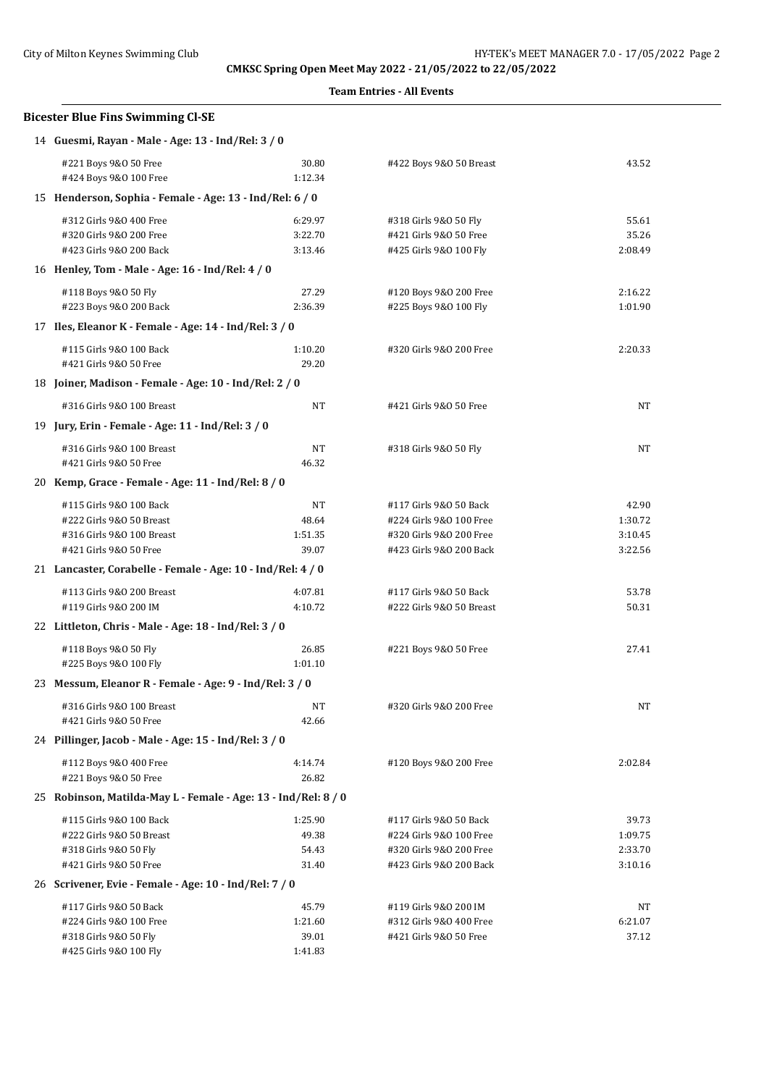**Team Entries - All Events**

# **Bicester Blue Fins Swimming Cl-SE** 14 **Guesmi, Rayan - Male - Age: 13 - Ind/Rel: 3 / 0** #221 Boys 9&O 50 Free 30.80 #422 Boys 9&O 50 Breast 43.52 #424 Boys 9&0 100 Free 1:12.34 15 **Henderson, Sophia - Female - Age: 13 - Ind/Rel: 6 / 0**

| 15 Henderson, Sophia - Female - Age: 13 - Ind/Rel: 6 / 0       |         |                          |           |
|----------------------------------------------------------------|---------|--------------------------|-----------|
| #312 Girls 9&0 400 Free                                        | 6:29.97 | #318 Girls 9&0 50 Fly    | 55.61     |
| #320 Girls 9&0 200 Free                                        | 3:22.70 | #421 Girls 9&0 50 Free   | 35.26     |
| #423 Girls 9&0 200 Back                                        | 3:13.46 | #425 Girls 9&0 100 Fly   | 2:08.49   |
| 16 Henley, Tom - Male - Age: 16 - Ind/Rel: 4 / 0               |         |                          |           |
| #118 Boys 9&0 50 Fly                                           | 27.29   | #120 Boys 9&0 200 Free   | 2:16.22   |
| #223 Boys 9&0 200 Back                                         | 2:36.39 | #225 Boys 9&0 100 Fly    | 1:01.90   |
| 17 Iles, Eleanor K - Female - Age: 14 - Ind/Rel: 3 / 0         |         |                          |           |
| #115 Girls 9&0 100 Back                                        | 1:10.20 | #320 Girls 9&0 200 Free  | 2:20.33   |
| #421 Girls 9&0 50 Free                                         | 29.20   |                          |           |
| 18 Joiner, Madison - Female - Age: 10 - Ind/Rel: 2 / 0         |         |                          |           |
| #316 Girls 9&0 100 Breast                                      | NT      | #421 Girls 9&0 50 Free   | NT        |
| 19 Jury, Erin - Female - Age: 11 - Ind/Rel: 3 / 0              |         |                          |           |
| #316 Girls 9&0 100 Breast                                      | NT      | #318 Girls 9&0 50 Fly    | NT        |
| #421 Girls 9&0 50 Free                                         | 46.32   |                          |           |
| 20 Kemp, Grace - Female - Age: 11 - Ind/Rel: 8 / 0             |         |                          |           |
| #115 Girls 9&0 100 Back                                        | NT      | #117 Girls 9&0 50 Back   | 42.90     |
| #222 Girls 9&0 50 Breast                                       | 48.64   | #224 Girls 9&0 100 Free  | 1:30.72   |
| #316 Girls 9&0 100 Breast                                      | 1:51.35 | #320 Girls 9&0 200 Free  | 3:10.45   |
| #421 Girls 9&0 50 Free                                         | 39.07   | #423 Girls 9&0 200 Back  | 3:22.56   |
| 21 Lancaster, Corabelle - Female - Age: 10 - Ind/Rel: 4 / 0    |         |                          |           |
| #113 Girls 9&0 200 Breast                                      | 4:07.81 | #117 Girls 9&0 50 Back   | 53.78     |
| #119 Girls 9&0 200 IM                                          | 4:10.72 | #222 Girls 9&0 50 Breast | 50.31     |
| 22 Littleton, Chris - Male - Age: 18 - Ind/Rel: 3 / 0          |         |                          |           |
| #118 Boys 9&0 50 Fly                                           | 26.85   | #221 Boys 9&0 50 Free    | 27.41     |
| #225 Boys 9&0 100 Fly                                          | 1:01.10 |                          |           |
| 23 Messum, Eleanor R - Female - Age: 9 - Ind/Rel: 3 / 0        |         |                          |           |
| #316 Girls 9&0 100 Breast                                      | NT      | #320 Girls 9&0 200 Free  | <b>NT</b> |
| #421 Girls 9&0 50 Free                                         | 42.66   |                          |           |
| 24 Pillinger, Jacob - Male - Age: 15 - Ind/Rel: 3 / 0          |         |                          |           |
| #112 Boys 9&0 400 Free                                         | 4:14.74 | #120 Boys 9&0 200 Free   | 2:02.84   |
| #221 Boys 9&0 50 Free                                          | 26.82   |                          |           |
| 25 Robinson, Matilda-May L - Female - Age: 13 - Ind/Rel: 8 / 0 |         |                          |           |
| #115 Girls 9&0 100 Back                                        | 1:25.90 | #117 Girls 9&0 50 Back   | 39.73     |
| #222 Girls 9&0 50 Breast                                       | 49.38   | #224 Girls 9&0 100 Free  | 1:09.75   |
| #318 Girls 9&0 50 Fly                                          | 54.43   | #320 Girls 9&0 200 Free  | 2:33.70   |
| #421 Girls 9&0 50 Free                                         | 31.40   | #423 Girls 9&0 200 Back  | 3:10.16   |
| 26 Scrivener, Evie - Female - Age: 10 - Ind/Rel: 7 / 0         |         |                          |           |
| #117 Girls 9&0 50 Back                                         | 45.79   | #119 Girls 9&0 200 IM    | NΤ        |
| #224 Girls 9&0 100 Free                                        | 1:21.60 | #312 Girls 9&0 400 Free  | 6:21.07   |
| #318 Girls 9&0 50 Fly                                          | 39.01   | #421 Girls 9&0 50 Free   | 37.12     |
| #425 Girls 9&0 100 Fly                                         | 1:41.83 |                          |           |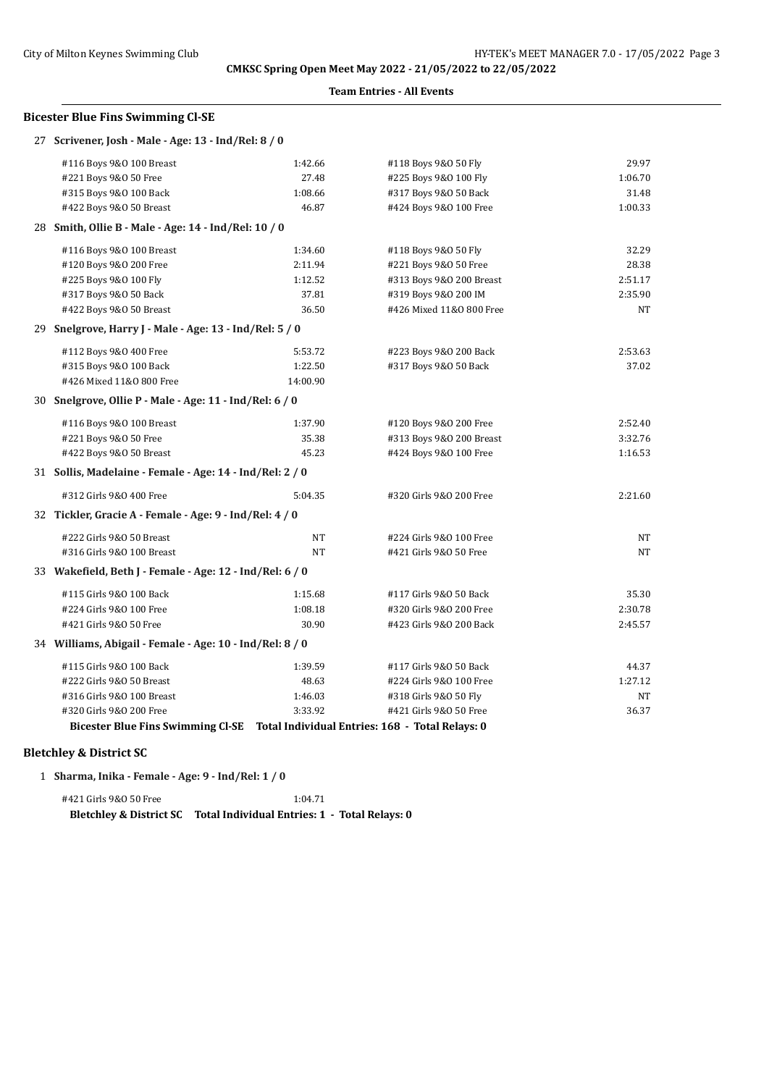#### **Team Entries - All Events**

#### **Bicester Blue Fins Swimming Cl-SE**

| 27 Scrivener, Josh - Male - Age: 13 - Ind/Rel: 8 / 0                              |          |                          |         |
|-----------------------------------------------------------------------------------|----------|--------------------------|---------|
| #116 Boys 9&0 100 Breast                                                          | 1:42.66  | #118 Boys 9&0 50 Fly     | 29.97   |
| #221 Boys 9&0 50 Free                                                             | 27.48    | #225 Boys 9&0 100 Fly    | 1:06.70 |
| #315 Boys 9&0 100 Back                                                            | 1:08.66  | #317 Boys 9&0 50 Back    | 31.48   |
| #422 Boys 9&0 50 Breast                                                           | 46.87    | #424 Boys 9&0 100 Free   | 1:00.33 |
| 28 Smith, Ollie B - Male - Age: 14 - Ind/Rel: 10 / 0                              |          |                          |         |
| #116 Boys 9&0 100 Breast                                                          | 1:34.60  | #118 Boys 9&0 50 Fly     | 32.29   |
| #120 Boys 9&0 200 Free                                                            | 2:11.94  | #221 Boys 9&0 50 Free    | 28.38   |
| #225 Boys 9&0 100 Fly                                                             | 1:12.52  | #313 Boys 9&0 200 Breast | 2:51.17 |
| #317 Boys 9&0 50 Back                                                             | 37.81    | #319 Boys 9&0 200 IM     | 2:35.90 |
| #422 Boys 9&0 50 Breast                                                           | 36.50    | #426 Mixed 11&0 800 Free | NT      |
| 29 Snelgrove, Harry J - Male - Age: 13 - Ind/Rel: 5 / 0                           |          |                          |         |
| #112 Boys 9&0 400 Free                                                            | 5:53.72  | #223 Boys 9&0 200 Back   | 2:53.63 |
| #315 Boys 9&0 100 Back                                                            | 1:22.50  | #317 Boys 9&0 50 Back    | 37.02   |
| #426 Mixed 11&0 800 Free                                                          | 14:00.90 |                          |         |
| 30 Snelgrove, Ollie P - Male - Age: 11 - Ind/Rel: 6 / 0                           |          |                          |         |
| #116 Boys 9&0 100 Breast                                                          | 1:37.90  | #120 Boys 9&0 200 Free   | 2:52.40 |
| #221 Boys 9&0 50 Free                                                             | 35.38    | #313 Boys 9&0 200 Breast | 3:32.76 |
| #422 Boys 9&0 50 Breast                                                           | 45.23    | #424 Boys 9&0 100 Free   | 1:16.53 |
| 31 Sollis, Madelaine - Female - Age: 14 - Ind/Rel: 2 / 0                          |          |                          |         |
| #312 Girls 9&0 400 Free                                                           | 5:04.35  | #320 Girls 9&0 200 Free  | 2:21.60 |
| 32 Tickler, Gracie A - Female - Age: 9 - Ind/Rel: 4 / 0                           |          |                          |         |
| #222 Girls 9&0 50 Breast                                                          | NT       | #224 Girls 9&0 100 Free  | NT      |
| #316 Girls 9&0 100 Breast                                                         | NT       | #421 Girls 9&0 50 Free   | NT      |
| 33 Wakefield, Beth J - Female - Age: 12 - Ind/Rel: 6 / 0                          |          |                          |         |
| #115 Girls 9&0 100 Back                                                           | 1:15.68  | #117 Girls 9&0 50 Back   | 35.30   |
| #224 Girls 9&0 100 Free                                                           | 1:08.18  | #320 Girls 9&0 200 Free  | 2:30.78 |
| #421 Girls 9&0 50 Free                                                            | 30.90    | #423 Girls 9&0 200 Back  | 2:45.57 |
| 34 Williams, Abigail - Female - Age: 10 - Ind/Rel: 8 / 0                          |          |                          |         |
| #115 Girls 9&0 100 Back                                                           | 1:39.59  | #117 Girls 9&0 50 Back   | 44.37   |
| #222 Girls 9&0 50 Breast                                                          | 48.63    | #224 Girls 9&0 100 Free  | 1:27.12 |
| #316 Girls 9&0 100 Breast                                                         | 1:46.03  | #318 Girls 9&0 50 Fly    | NT      |
| #320 Girls 9&0 200 Free                                                           | 3:33.92  | #421 Girls 9&0 50 Free   | 36.37   |
| Bicester Blue Fins Swimming Cl-SE Total Individual Entries: 168 - Total Relays: 0 |          |                          |         |

## **Bletchley & District SC**

1 **Sharma, Inika - Female - Age: 9 - Ind/Rel: 1 / 0**

#421 Girls 9&O 50 Free 1:04.71 **Bletchley & District SC Total Individual Entries: 1 - Total Relays: 0**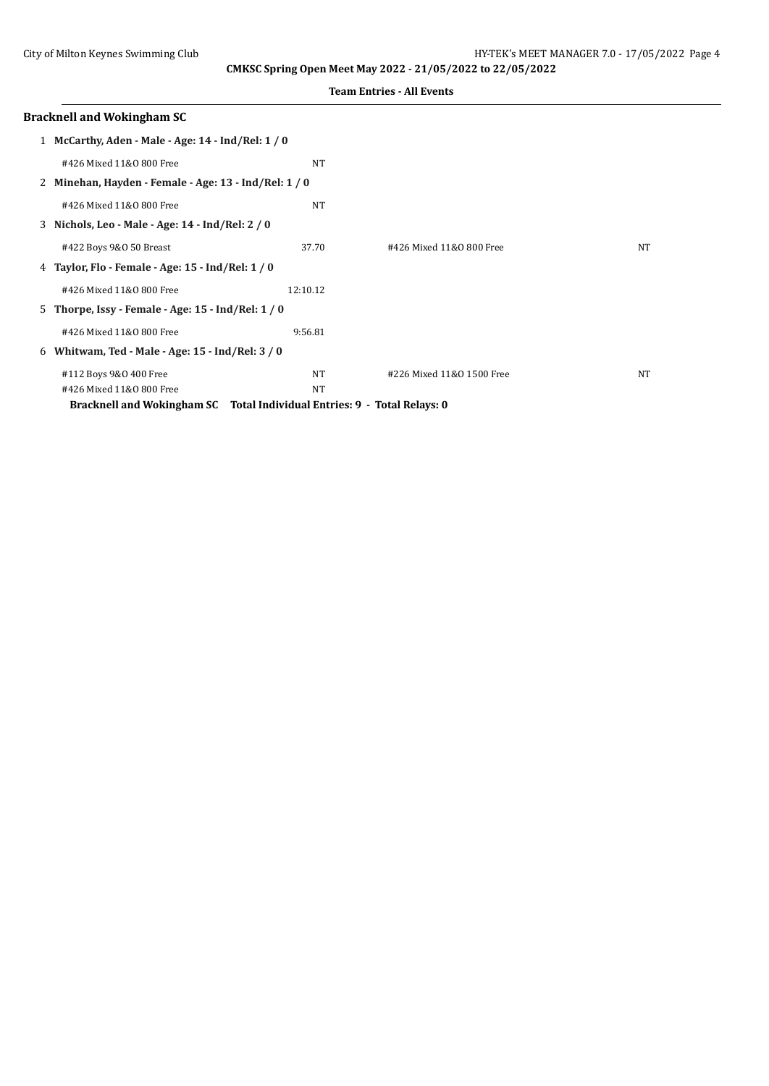|  | <b>Team Entries - All Events</b> |  |  |
|--|----------------------------------|--|--|
|--|----------------------------------|--|--|

|              | <b>Bracknell and Wokingham SC</b>                                        |           |                           |    |
|--------------|--------------------------------------------------------------------------|-----------|---------------------------|----|
| $\mathbf{1}$ | McCarthy, Aden - Male - Age: 14 - Ind/Rel: 1 / 0                         |           |                           |    |
|              | #426 Mixed 11&0 800 Free                                                 | <b>NT</b> |                           |    |
|              | 2 Minehan, Hayden - Female - Age: 13 - Ind/Rel: 1/0                      |           |                           |    |
|              | #426 Mixed 11&0 800 Free                                                 | NT        |                           |    |
|              | 3 Nichols, Leo - Male - Age: 14 - Ind/Rel: 2 / 0                         |           |                           |    |
|              | #422 Boys 9&0 50 Breast                                                  | 37.70     | #426 Mixed 11&0 800 Free  | NT |
|              | 4 Taylor, Flo - Female - Age: 15 - Ind/Rel: 1 / 0                        |           |                           |    |
|              | #426 Mixed 11&0 800 Free                                                 | 12:10.12  |                           |    |
| 5.           | Thorpe, Issy - Female - Age: $15$ - Ind/Rel: $1/0$                       |           |                           |    |
|              | #426 Mixed 11&0 800 Free                                                 | 9:56.81   |                           |    |
| 6            | Whitwam, Ted - Male - Age: $15$ - Ind/Rel: $3/0$                         |           |                           |    |
|              | #112 Boys 9&0 400 Free                                                   | NT        | #226 Mixed 11&0 1500 Free | NT |
|              | #426 Mixed 11&0 800 Free                                                 | NT        |                           |    |
|              | Bracknell and Wokingham SC Total Individual Entries: 9 - Total Relays: 0 |           |                           |    |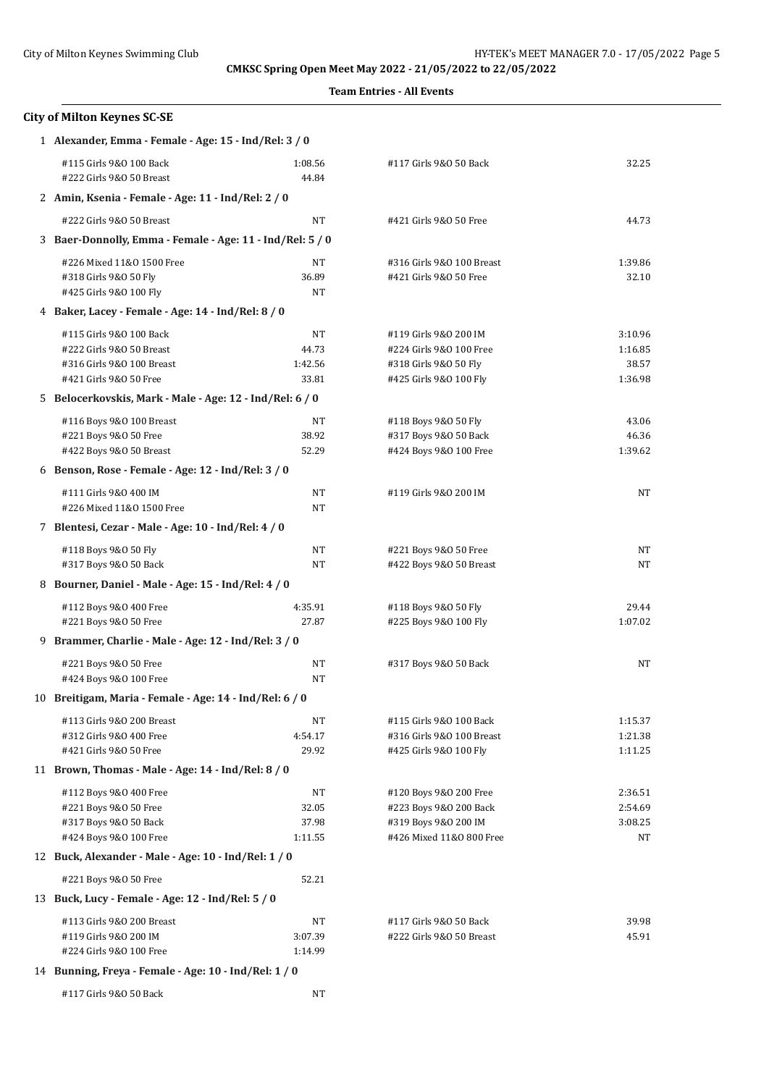| <b>City of Milton Keynes SC-SE</b>                        |                  |                                                    |                |  |  |
|-----------------------------------------------------------|------------------|----------------------------------------------------|----------------|--|--|
| 1 Alexander, Emma - Female - Age: 15 - Ind/Rel: 3 / 0     |                  |                                                    |                |  |  |
| #115 Girls 9&0 100 Back<br>#222 Girls 9&0 50 Breast       | 1:08.56<br>44.84 | #117 Girls 9&0 50 Back                             | 32.25          |  |  |
| 2 Amin, Ksenia - Female - Age: 11 - Ind/Rel: 2 / 0        |                  |                                                    |                |  |  |
| #222 Girls 9&0 50 Breast                                  | NT               | #421 Girls 9&0 50 Free                             | 44.73          |  |  |
| 3 Baer-Donnolly, Emma - Female - Age: 11 - Ind/Rel: 5 / 0 |                  |                                                    |                |  |  |
| #226 Mixed 11&0 1500 Free                                 | NT               | #316 Girls 9&0 100 Breast                          | 1:39.86        |  |  |
| #318 Girls 9&0 50 Fly                                     | 36.89            | #421 Girls 9&0 50 Free                             | 32.10          |  |  |
| #425 Girls 9&0 100 Fly                                    | NT               |                                                    |                |  |  |
| 4 Baker, Lacey - Female - Age: 14 - Ind/Rel: 8 / 0        |                  |                                                    |                |  |  |
| #115 Girls 9&0 100 Back                                   | NT               | #119 Girls 9&0 200 IM                              | 3:10.96        |  |  |
| #222 Girls 9&0 50 Breast                                  | 44.73            | #224 Girls 9&0 100 Free                            | 1:16.85        |  |  |
| #316 Girls 9&0 100 Breast                                 | 1:42.56          | #318 Girls 9&0 50 Fly                              | 38.57          |  |  |
| #421 Girls 9&0 50 Free                                    | 33.81            | #425 Girls 9&0 100 Fly                             | 1:36.98        |  |  |
| 5 Belocerkovskis, Mark - Male - Age: 12 - Ind/Rel: 6 / 0  |                  |                                                    |                |  |  |
| #116 Boys 9&0 100 Breast                                  | NT               | #118 Boys 9&0 50 Fly                               | 43.06          |  |  |
| #221 Boys 9&0 50 Free                                     | 38.92            | #317 Boys 9&0 50 Back                              | 46.36          |  |  |
| #422 Boys 9&0 50 Breast                                   | 52.29            | #424 Boys 9&0 100 Free                             | 1:39.62        |  |  |
| 6 Benson, Rose - Female - Age: 12 - Ind/Rel: 3 / 0        |                  |                                                    |                |  |  |
| #111 Girls 9&0 400 IM                                     | NT               | #119 Girls 9&0 200 IM                              | NT             |  |  |
| #226 Mixed 11&0 1500 Free                                 | NT               |                                                    |                |  |  |
| 7 Blentesi, Cezar - Male - Age: 10 - Ind/Rel: 4 / 0       |                  |                                                    |                |  |  |
| #118 Boys 9&0 50 Fly                                      | NT               | #221 Boys 9&0 50 Free                              | NΤ             |  |  |
| #317 Boys 9&0 50 Back                                     | NT               | #422 Boys 9&0 50 Breast                            | NT             |  |  |
| 8 Bourner, Daniel - Male - Age: 15 - Ind/Rel: 4 / 0       |                  |                                                    |                |  |  |
| #112 Boys 9&0 400 Free                                    | 4:35.91          | #118 Boys 9&0 50 Fly                               | 29.44          |  |  |
| #221 Boys 9&0 50 Free                                     | 27.87            | #225 Boys 9&0 100 Fly                              | 1:07.02        |  |  |
| 9 Brammer, Charlie - Male - Age: 12 - Ind/Rel: 3 / 0      |                  |                                                    |                |  |  |
| #221 Boys 9&0 50 Free                                     | NT               | #317 Boys 9&0 50 Back                              | NT             |  |  |
| #424 Boys 9&0 100 Free                                    | NT               |                                                    |                |  |  |
| 10 Breitigam, Maria - Female - Age: 14 - Ind/Rel: 6 / 0   |                  |                                                    |                |  |  |
| #113 Girls 9&0 200 Breast                                 | NT               | #115 Girls 9&0 100 Back                            | 1:15.37        |  |  |
| #312 Girls 9&0 400 Free                                   | 4:54.17          | #316 Girls 9&0 100 Breast                          | 1:21.38        |  |  |
| #421 Girls 9&0 50 Free                                    | 29.92            | #425 Girls 9&0 100 Fly                             | 1:11.25        |  |  |
| 11 Brown, Thomas - Male - Age: 14 - Ind/Rel: 8 / 0        |                  |                                                    |                |  |  |
| #112 Boys 9&0 400 Free                                    | NT               | #120 Boys 9&0 200 Free                             | 2:36.51        |  |  |
| #221 Boys 9&0 50 Free                                     | 32.05            | #223 Boys 9&0 200 Back                             | 2:54.69        |  |  |
| #317 Boys 9&0 50 Back<br>#424 Boys 9&0 100 Free           | 37.98<br>1:11.55 | #319 Boys 9&0 200 IM<br>#426 Mixed 11&0 800 Free   | 3:08.25<br>NT  |  |  |
| 12 Buck, Alexander - Male - Age: 10 - Ind/Rel: 1 / 0      |                  |                                                    |                |  |  |
|                                                           |                  |                                                    |                |  |  |
| #221 Boys 9&0 50 Free                                     | 52.21            |                                                    |                |  |  |
| 13 Buck, Lucy - Female - Age: 12 - Ind/Rel: 5 / 0         |                  |                                                    |                |  |  |
| #113 Girls 9&0 200 Breast<br>#119 Girls 9&0 200 IM        | NT<br>3:07.39    | #117 Girls 9&0 50 Back<br>#222 Girls 9&0 50 Breast | 39.98<br>45.91 |  |  |
| #224 Girls 9&0 100 Free                                   | 1:14.99          |                                                    |                |  |  |
| 14 Bunning, Freya - Female - Age: 10 - Ind/Rel: 1 / 0     |                  |                                                    |                |  |  |
| #117 Girls 9&0 50 Back                                    | NT               |                                                    |                |  |  |
|                                                           |                  |                                                    |                |  |  |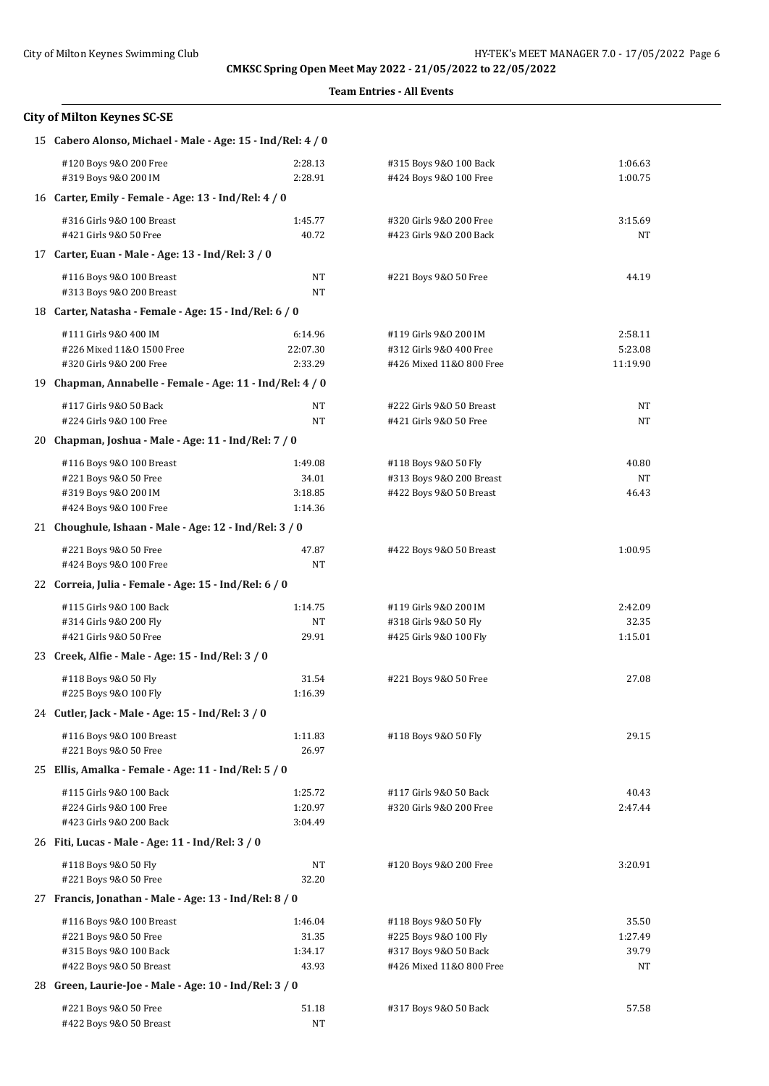| <b>City of Milton Keynes SC-SE</b>                                                                     |                                        |                                                                                                    |                                 |  |  |
|--------------------------------------------------------------------------------------------------------|----------------------------------------|----------------------------------------------------------------------------------------------------|---------------------------------|--|--|
| 15 Cabero Alonso, Michael - Male - Age: 15 - Ind/Rel: 4 / 0                                            |                                        |                                                                                                    |                                 |  |  |
| #120 Boys 9&0 200 Free<br>#319 Boys 9&0 200 IM                                                         | 2:28.13<br>2:28.91                     | #315 Boys 9&0 100 Back<br>#424 Boys 9&0 100 Free                                                   | 1:06.63<br>1:00.75              |  |  |
| 16 Carter, Emily - Female - Age: 13 - Ind/Rel: 4 / 0                                                   |                                        |                                                                                                    |                                 |  |  |
| #316 Girls 9&0 100 Breast                                                                              | 1:45.77                                | #320 Girls 9&0 200 Free                                                                            | 3:15.69                         |  |  |
| #421 Girls 9&0 50 Free                                                                                 | 40.72                                  | #423 Girls 9&0 200 Back                                                                            | NT                              |  |  |
| 17 Carter, Euan - Male - Age: 13 - Ind/Rel: 3 / 0                                                      |                                        |                                                                                                    |                                 |  |  |
| #116 Boys 9&0 100 Breast<br>#313 Boys 9&0 200 Breast                                                   | NT<br>NT                               | #221 Boys 9&0 50 Free                                                                              | 44.19                           |  |  |
| 18 Carter, Natasha - Female - Age: 15 - Ind/Rel: 6 / 0                                                 |                                        |                                                                                                    |                                 |  |  |
| #111 Girls 9&0 400 IM                                                                                  | 6:14.96                                | #119 Girls 9&0 200 IM                                                                              | 2:58.11                         |  |  |
| #226 Mixed 11&0 1500 Free<br>#320 Girls 9&0 200 Free                                                   | 22:07.30<br>2:33.29                    | #312 Girls 9&0 400 Free<br>#426 Mixed 11&0 800 Free                                                | 5:23.08<br>11:19.90             |  |  |
| 19 Chapman, Annabelle - Female - Age: 11 - Ind/Rel: 4 / 0                                              |                                        |                                                                                                    |                                 |  |  |
| #117 Girls 9&0 50 Back<br>#224 Girls 9&0 100 Free                                                      | NT<br>NT                               | #222 Girls 9&0 50 Breast<br>#421 Girls 9&0 50 Free                                                 | NT<br>NT                        |  |  |
| 20 Chapman, Joshua - Male - Age: 11 - Ind/Rel: 7 / 0                                                   |                                        |                                                                                                    |                                 |  |  |
| #116 Boys 9&0 100 Breast<br>#221 Boys 9&0 50 Free<br>#319 Boys 9&0 200 IM<br>#424 Boys 9&0 100 Free    | 1:49.08<br>34.01<br>3:18.85<br>1:14.36 | #118 Boys 9&0 50 Fly<br>#313 Boys 9&0 200 Breast<br>#422 Boys 9&0 50 Breast                        | 40.80<br>NT<br>46.43            |  |  |
| 21 Choughule, Ishaan - Male - Age: 12 - Ind/Rel: 3 / 0                                                 |                                        |                                                                                                    |                                 |  |  |
| #221 Boys 9&0 50 Free<br>#424 Boys 9&0 100 Free                                                        | 47.87<br>NT                            | #422 Boys 9&0 50 Breast                                                                            | 1:00.95                         |  |  |
| 22 Correia, Julia - Female - Age: 15 - Ind/Rel: 6 / 0                                                  |                                        |                                                                                                    |                                 |  |  |
| #115 Girls 9&0 100 Back<br>#314 Girls 9&0 200 Fly<br>#421 Girls 9&0 50 Free                            | 1:14.75<br>NT<br>29.91                 | #119 Girls 9&0 200 IM<br>#318 Girls 9&0 50 Fly<br>#425 Girls 9&0 100 Fly                           | 2:42.09<br>32.35<br>1:15.01     |  |  |
| 23 Creek, Alfie - Male - Age: 15 - Ind/Rel: 3 / 0                                                      |                                        |                                                                                                    |                                 |  |  |
| #118 Boys 9&0 50 Fly<br>#225 Boys 9&0 100 Fly                                                          | 31.54<br>1:16.39                       | #221 Boys 9&0 50 Free                                                                              | 27.08                           |  |  |
| 24 Cutler, Jack - Male - Age: 15 - Ind/Rel: 3 / 0                                                      |                                        |                                                                                                    |                                 |  |  |
| #116 Boys 9&0 100 Breast<br>#221 Boys 9&0 50 Free                                                      | 1:11.83<br>26.97                       | #118 Boys 9&0 50 Fly                                                                               | 29.15                           |  |  |
| 25 Ellis, Amalka - Female - Age: 11 - Ind/Rel: 5 / 0                                                   |                                        |                                                                                                    |                                 |  |  |
| #115 Girls 9&0 100 Back<br>#224 Girls 9&0 100 Free<br>#423 Girls 9&0 200 Back                          | 1:25.72<br>1:20.97<br>3:04.49          | #117 Girls 9&0 50 Back<br>#320 Girls 9&0 200 Free                                                  | 40.43<br>2:47.44                |  |  |
| 26 Fiti, Lucas - Male - Age: 11 - Ind/Rel: 3 / 0                                                       |                                        |                                                                                                    |                                 |  |  |
| #118 Boys 9&0 50 Fly<br>#221 Boys 9&0 50 Free                                                          | NT<br>32.20                            | #120 Boys 9&0 200 Free                                                                             | 3:20.91                         |  |  |
| 27 Francis, Jonathan - Male - Age: 13 - Ind/Rel: 8 / 0                                                 |                                        |                                                                                                    |                                 |  |  |
| #116 Boys 9&0 100 Breast<br>#221 Boys 9&0 50 Free<br>#315 Boys 9&0 100 Back<br>#422 Boys 9&0 50 Breast | 1:46.04<br>31.35<br>1:34.17<br>43.93   | #118 Boys 9&0 50 Fly<br>#225 Boys 9&0 100 Fly<br>#317 Boys 9&0 50 Back<br>#426 Mixed 11&0 800 Free | 35.50<br>1:27.49<br>39.79<br>NT |  |  |
| 28 Green, Laurie-Joe - Male - Age: 10 - Ind/Rel: 3 / 0                                                 |                                        |                                                                                                    |                                 |  |  |
| #221 Boys 9&0 50 Free<br>#422 Boys 9&0 50 Breast                                                       | 51.18<br>NT                            | #317 Boys 9&0 50 Back                                                                              | 57.58                           |  |  |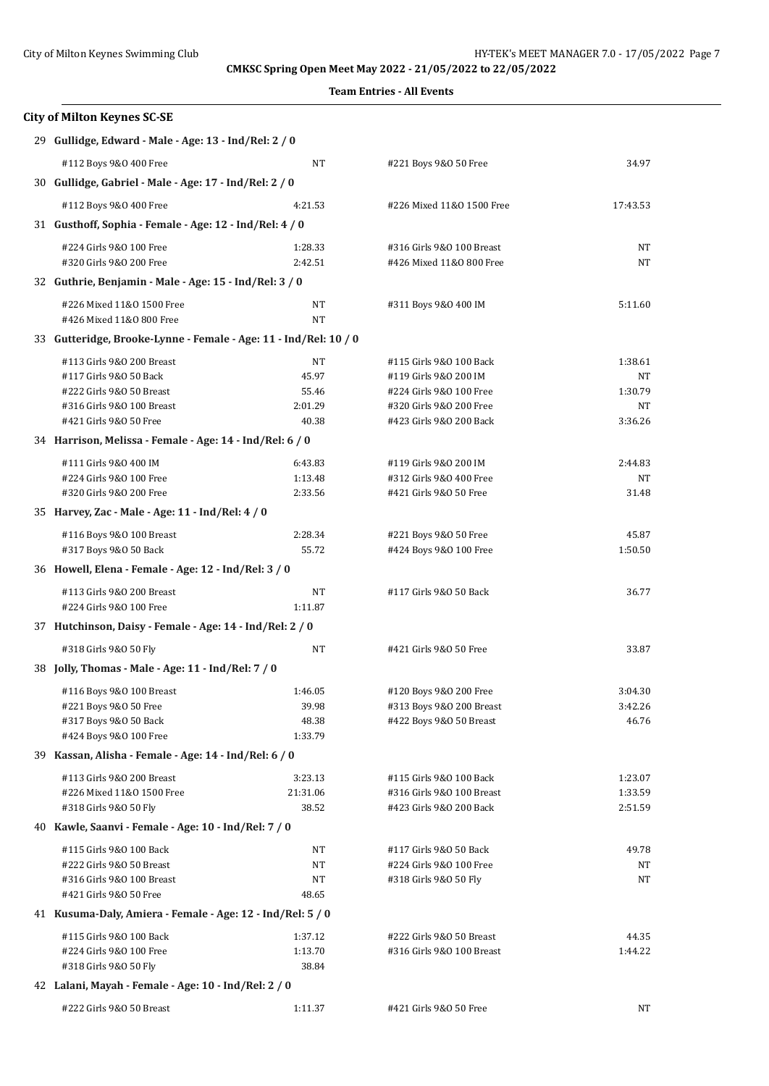| <b>City of Milton Keynes SC-SE</b>                               |          |                           |          |  |  |
|------------------------------------------------------------------|----------|---------------------------|----------|--|--|
| 29 Gullidge, Edward - Male - Age: 13 - Ind/Rel: 2 / 0            |          |                           |          |  |  |
| #112 Boys 9&0 400 Free                                           | NT       | #221 Boys 9&0 50 Free     | 34.97    |  |  |
| 30 Gullidge, Gabriel - Male - Age: 17 - Ind/Rel: 2 / 0           |          |                           |          |  |  |
| #112 Boys 9&0 400 Free                                           | 4:21.53  | #226 Mixed 11&0 1500 Free | 17:43.53 |  |  |
| 31 Gusthoff, Sophia - Female - Age: 12 - Ind/Rel: 4 / 0          |          |                           |          |  |  |
| #224 Girls 9&0 100 Free                                          | 1:28.33  | #316 Girls 9&0 100 Breast | NT       |  |  |
| #320 Girls 9&0 200 Free                                          | 2:42.51  | #426 Mixed 11&0 800 Free  | NT       |  |  |
| 32 Guthrie, Benjamin - Male - Age: 15 - Ind/Rel: 3 / 0           |          |                           |          |  |  |
| #226 Mixed 11&0 1500 Free                                        | NT       | #311 Boys 9&0 400 IM      | 5:11.60  |  |  |
| #426 Mixed 11&0 800 Free                                         | NT       |                           |          |  |  |
| 33 Gutteridge, Brooke-Lynne - Female - Age: 11 - Ind/Rel: 10 / 0 |          |                           |          |  |  |
| #113 Girls 9&0 200 Breast                                        | NT       | #115 Girls 9&0 100 Back   | 1:38.61  |  |  |
| #117 Girls 9&0 50 Back                                           | 45.97    | #119 Girls 9&0 200 IM     | NT       |  |  |
| #222 Girls 9&0 50 Breast                                         | 55.46    | #224 Girls 9&0 100 Free   | 1:30.79  |  |  |
| #316 Girls 9&0 100 Breast                                        | 2:01.29  | #320 Girls 9&0 200 Free   | NT       |  |  |
| #421 Girls 9&0 50 Free                                           | 40.38    | #423 Girls 9&0 200 Back   | 3:36.26  |  |  |
| 34 Harrison, Melissa - Female - Age: 14 - Ind/Rel: 6 / 0         |          |                           |          |  |  |
| #111 Girls 9&0 400 IM                                            | 6:43.83  | #119 Girls 9&0 200 IM     | 2:44.83  |  |  |
| #224 Girls 9&0 100 Free                                          | 1:13.48  | #312 Girls 9&0 400 Free   | NT       |  |  |
| #320 Girls 9&0 200 Free                                          | 2:33.56  | #421 Girls 9&0 50 Free    | 31.48    |  |  |
| 35 Harvey, Zac - Male - Age: 11 - Ind/Rel: 4 / 0                 |          |                           |          |  |  |
| #116 Boys 9&0 100 Breast                                         | 2:28.34  | #221 Boys 9&0 50 Free     | 45.87    |  |  |
| #317 Boys 9&0 50 Back                                            | 55.72    | #424 Boys 9&0 100 Free    | 1:50.50  |  |  |
| 36 Howell, Elena - Female - Age: 12 - Ind/Rel: 3 / 0             |          |                           |          |  |  |
| #113 Girls 9&0 200 Breast                                        | NT       | #117 Girls 9&0 50 Back    | 36.77    |  |  |
| #224 Girls 9&0 100 Free                                          | 1:11.87  |                           |          |  |  |
| 37 Hutchinson, Daisy - Female - Age: 14 - Ind/Rel: 2 / 0         |          |                           |          |  |  |
| #318 Girls 9&0 50 Fly                                            | NT       | #421 Girls 9&0 50 Free    | 33.87    |  |  |
| 38 Jolly, Thomas - Male - Age: 11 - Ind/Rel: 7 / 0               |          |                           |          |  |  |
| #116 Boys 9&0 100 Breast                                         | 1:46.05  | #120 Boys 9&0 200 Free    | 3:04.30  |  |  |
| #221 Boys 9&0 50 Free                                            | 39.98    | #313 Boys 9&0 200 Breast  | 3:42.26  |  |  |
| #317 Boys 9&0 50 Back                                            | 48.38    | #422 Boys 9&0 50 Breast   | 46.76    |  |  |
| #424 Boys 9&0 100 Free                                           | 1:33.79  |                           |          |  |  |
| 39 Kassan, Alisha - Female - Age: 14 - Ind/Rel: 6 / 0            |          |                           |          |  |  |
| #113 Girls 9&0 200 Breast                                        | 3:23.13  | #115 Girls 9&0 100 Back   | 1:23.07  |  |  |
| #226 Mixed 11&0 1500 Free                                        | 21:31.06 | #316 Girls 9&0 100 Breast | 1:33.59  |  |  |
| #318 Girls 9&0 50 Fly                                            | 38.52    | #423 Girls 9&0 200 Back   | 2:51.59  |  |  |
| 40 Kawle, Saanvi - Female - Age: 10 - Ind/Rel: 7 / 0             |          |                           |          |  |  |
| #115 Girls 9&0 100 Back                                          | NT       | #117 Girls 9&0 50 Back    | 49.78    |  |  |
| #222 Girls 9&0 50 Breast                                         | NT       | #224 Girls 9&0 100 Free   | NT       |  |  |
| #316 Girls 9&0 100 Breast                                        | NT       | #318 Girls 9&0 50 Fly     | NT       |  |  |
| #421 Girls 9&0 50 Free                                           | 48.65    |                           |          |  |  |
| 41 Kusuma-Daly, Amiera - Female - Age: 12 - Ind/Rel: 5 / 0       |          |                           |          |  |  |
| #115 Girls 9&0 100 Back                                          | 1:37.12  | #222 Girls 9&0 50 Breast  | 44.35    |  |  |
| #224 Girls 9&0 100 Free                                          | 1:13.70  | #316 Girls 9&0 100 Breast | 1:44.22  |  |  |
| #318 Girls 9&0 50 Fly                                            | 38.84    |                           |          |  |  |
| 42 Lalani, Mayah - Female - Age: 10 - Ind/Rel: 2 / 0             |          |                           |          |  |  |
| #222 Girls 9&0 50 Breast                                         | 1:11.37  | #421 Girls 9&0 50 Free    | NT       |  |  |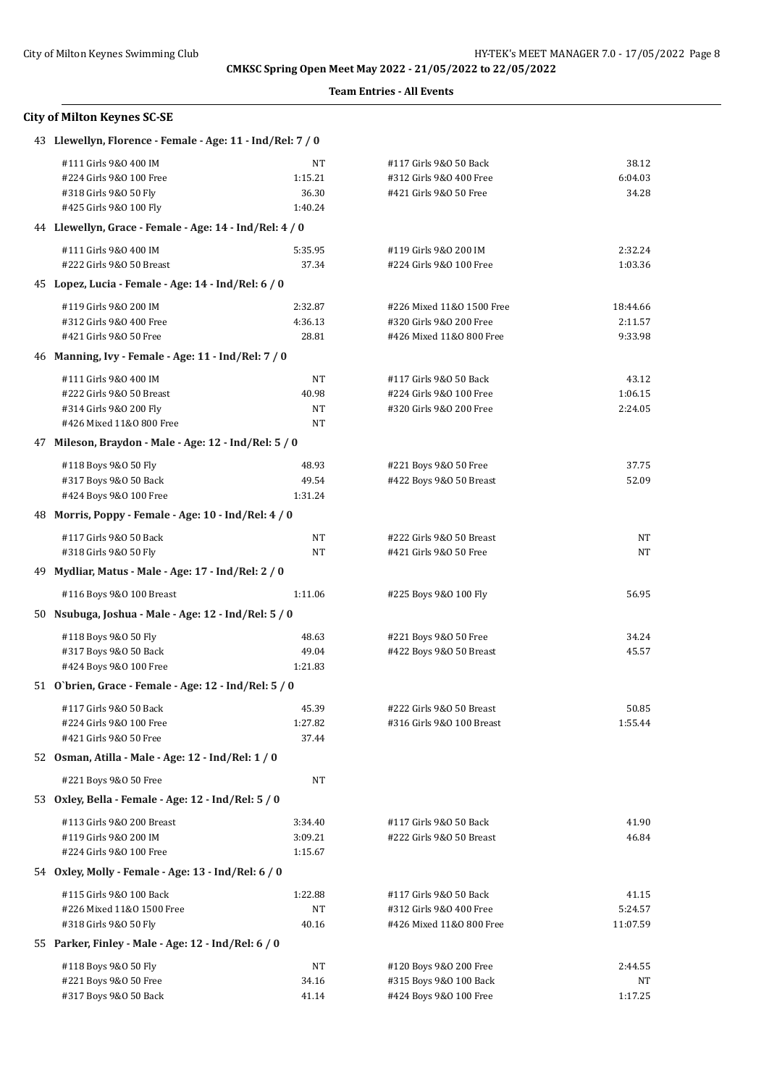|    | <b>City of Milton Keynes SC-SE</b>                                                                      |                                   |                                                                                  |                                |
|----|---------------------------------------------------------------------------------------------------------|-----------------------------------|----------------------------------------------------------------------------------|--------------------------------|
|    | 43 Llewellyn, Florence - Female - Age: 11 - Ind/Rel: 7 / 0                                              |                                   |                                                                                  |                                |
|    | #111 Girls 9&0 400 IM<br>#224 Girls 9&0 100 Free<br>#318 Girls 9&0 50 Fly<br>#425 Girls 9&0 100 Fly     | NT<br>1:15.21<br>36.30<br>1:40.24 | #117 Girls 9&0 50 Back<br>#312 Girls 9&0 400 Free<br>#421 Girls 9&0 50 Free      | 38.12<br>6:04.03<br>34.28      |
|    | 44 Llewellyn, Grace - Female - Age: 14 - Ind/Rel: 4 / 0                                                 |                                   |                                                                                  |                                |
|    | #111 Girls 9&0 400 IM<br>#222 Girls 9&0 50 Breast                                                       | 5:35.95<br>37.34                  | #119 Girls 9&0 200 IM<br>#224 Girls 9&0 100 Free                                 | 2:32.24<br>1:03.36             |
|    | 45 Lopez, Lucia - Female - Age: 14 - Ind/Rel: 6 / 0                                                     |                                   |                                                                                  |                                |
|    | #119 Girls 9&0 200 IM<br>#312 Girls 9&0 400 Free<br>#421 Girls 9&0 50 Free                              | 2:32.87<br>4:36.13<br>28.81       | #226 Mixed 11&0 1500 Free<br>#320 Girls 9&0 200 Free<br>#426 Mixed 11&0 800 Free | 18:44.66<br>2:11.57<br>9:33.98 |
|    | 46 Manning, Ivy - Female - Age: 11 - Ind/Rel: 7 / 0                                                     |                                   |                                                                                  |                                |
|    | #111 Girls 9&0 400 IM<br>#222 Girls 9&0 50 Breast<br>#314 Girls 9&0 200 Fly<br>#426 Mixed 11&0 800 Free | NT<br>40.98<br>NT<br>NT           | #117 Girls 9&0 50 Back<br>#224 Girls 9&0 100 Free<br>#320 Girls 9&0 200 Free     | 43.12<br>1:06.15<br>2:24.05    |
|    | 47 Mileson, Braydon - Male - Age: 12 - Ind/Rel: 5 / 0                                                   |                                   |                                                                                  |                                |
|    | #118 Boys 9&0 50 Fly<br>#317 Boys 9&0 50 Back<br>#424 Boys 9&0 100 Free                                 | 48.93<br>49.54<br>1:31.24         | #221 Boys 9&0 50 Free<br>#422 Boys 9&0 50 Breast                                 | 37.75<br>52.09                 |
|    | 48 Morris, Poppy - Female - Age: 10 - Ind/Rel: 4 / 0                                                    |                                   |                                                                                  |                                |
|    | #117 Girls 9&0 50 Back<br>#318 Girls 9&0 50 Fly                                                         | NT<br>NT                          | #222 Girls 9&0 50 Breast<br>#421 Girls 9&0 50 Free                               | NT<br>NΤ                       |
| 49 | Mydliar, Matus - Male - Age: 17 - Ind/Rel: 2 / 0                                                        |                                   |                                                                                  |                                |
|    | #116 Boys 9&0 100 Breast                                                                                | 1:11.06                           | #225 Boys 9&0 100 Fly                                                            | 56.95                          |
|    | 50 Nsubuga, Joshua - Male - Age: 12 - Ind/Rel: 5 / 0                                                    |                                   |                                                                                  |                                |
|    | #118 Boys 9&0 50 Fly<br>#317 Boys 9&0 50 Back<br>#424 Boys 9&0 100 Free                                 | 48.63<br>49.04<br>1:21.83         | #221 Boys 9&0 50 Free<br>#422 Boys 9&0 50 Breast                                 | 34.24<br>45.57                 |
|    | 51 O'brien, Grace - Female - Age: 12 - Ind/Rel: 5 / 0                                                   |                                   |                                                                                  |                                |
|    | #117 Girls 9&0 50 Back<br>#224 Girls 9&0 100 Free<br>#421 Girls 9&0 50 Free                             | 45.39<br>1:27.82<br>37.44         | #222 Girls 9&0 50 Breast<br>#316 Girls 9&0 100 Breast                            | 50.85<br>1:55.44               |
|    | 52 Osman, Atilla - Male - Age: 12 - Ind/Rel: 1 / 0                                                      |                                   |                                                                                  |                                |
|    | #221 Boys 9&0 50 Free                                                                                   | NT                                |                                                                                  |                                |
|    | 53 Oxley, Bella - Female - Age: 12 - Ind/Rel: 5 / 0                                                     |                                   |                                                                                  |                                |
|    | #113 Girls 9&0 200 Breast<br>#119 Girls 9&0 200 IM<br>#224 Girls 9&0 100 Free                           | 3:34.40<br>3:09.21<br>1:15.67     | #117 Girls 9&0 50 Back<br>#222 Girls 9&0 50 Breast                               | 41.90<br>46.84                 |
|    | 54 Oxley, Molly - Female - Age: 13 - Ind/Rel: 6 / 0                                                     |                                   |                                                                                  |                                |
|    | #115 Girls 9&0 100 Back<br>#226 Mixed 11&0 1500 Free<br>#318 Girls 9&0 50 Fly                           | 1:22.88<br>NT<br>40.16            | #117 Girls 9&0 50 Back<br>#312 Girls 9&0 400 Free<br>#426 Mixed 11&0 800 Free    | 41.15<br>5:24.57<br>11:07.59   |
|    | 55 Parker, Finley - Male - Age: 12 - Ind/Rel: 6 / 0                                                     |                                   |                                                                                  |                                |
|    | #118 Boys 9&0 50 Fly<br>#221 Boys 9&0 50 Free<br>#317 Boys 9&0 50 Back                                  | NT<br>34.16<br>41.14              | #120 Boys 9&0 200 Free<br>#315 Boys 9&0 100 Back<br>#424 Boys 9&0 100 Free       | 2:44.55<br>NT<br>1:17.25       |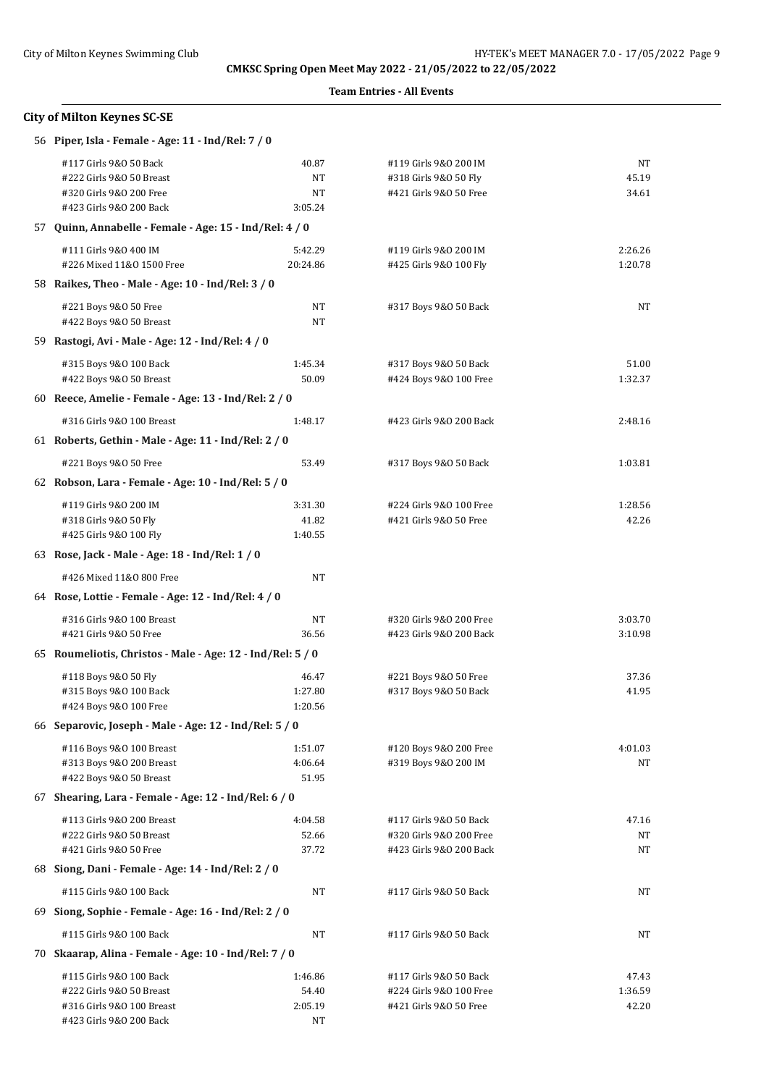**Team Entries - All Events**

| <b>City of Milton Keynes SC-SE</b>                                                                       |                              |                                                                              |                      |
|----------------------------------------------------------------------------------------------------------|------------------------------|------------------------------------------------------------------------------|----------------------|
| 56 Piper, Isla - Female - Age: 11 - Ind/Rel: 7 / 0                                                       |                              |                                                                              |                      |
| #117 Girls 9&0 50 Back<br>#222 Girls 9&0 50 Breast<br>#320 Girls 9&0 200 Free<br>#423 Girls 9&0 200 Back | 40.87<br>NT<br>NT<br>3:05.24 | #119 Girls 9&0 200 IM<br>#318 Girls 9&0 50 Fly<br>#421 Girls 9&0 50 Free     | NT<br>45.19<br>34.61 |
| 57 Quinn, Annabelle - Female - Age: 15 - Ind/Rel: 4 / 0                                                  |                              |                                                                              |                      |
| #111 Girls 9&0 400 IM<br>#226 Mixed 11&0 1500 Free                                                       | 5:42.29<br>20:24.86          | #119 Girls 9&0 200 IM<br>#425 Girls 9&0 100 Fly                              | 2:26.26<br>1:20.78   |
| 58 Raikes, Theo - Male - Age: 10 - Ind/Rel: 3 / 0                                                        |                              |                                                                              |                      |
| #221 Boys 9&0 50 Free<br>#422 Boys 9&0 50 Breast                                                         | NT<br>NT                     | #317 Boys 9&0 50 Back                                                        | NT                   |
| 59 Rastogi, Avi - Male - Age: 12 - Ind/Rel: 4 / 0                                                        |                              |                                                                              |                      |
| #315 Boys 9&0 100 Back<br>#422 Boys 9&0 50 Breast                                                        | 1:45.34<br>50.09             | #317 Boys 9&0 50 Back<br>#424 Boys 9&0 100 Free                              | 51.00<br>1:32.37     |
| 60 Reece, Amelie - Female - Age: 13 - Ind/Rel: 2 / 0                                                     |                              |                                                                              |                      |
| #316 Girls 9&0 100 Breast                                                                                | 1:48.17                      | #423 Girls 9&0 200 Back                                                      | 2:48.16              |
| 61 Roberts, Gethin - Male - Age: 11 - Ind/Rel: 2 / 0                                                     |                              |                                                                              |                      |
| #221 Boys 9&0 50 Free                                                                                    | 53.49                        | #317 Boys 9&0 50 Back                                                        | 1:03.81              |
| 62 Robson, Lara - Female - Age: 10 - Ind/Rel: 5 / 0                                                      |                              |                                                                              |                      |
| #119 Girls 9&0 200 IM<br>#318 Girls 9&0 50 Fly<br>#425 Girls 9&0 100 Fly                                 | 3:31.30<br>41.82<br>1:40.55  | #224 Girls 9&0 100 Free<br>#421 Girls 9&0 50 Free                            | 1:28.56<br>42.26     |
| 63 Rose, Jack - Male - Age: 18 - Ind/Rel: 1 / 0                                                          |                              |                                                                              |                      |
| #426 Mixed 11&0 800 Free                                                                                 | NT                           |                                                                              |                      |
| 64 Rose, Lottie - Female - Age: 12 - Ind/Rel: 4 / 0                                                      |                              |                                                                              |                      |
| #316 Girls 9&0 100 Breast<br>#421 Girls 9&0 50 Free                                                      | NT<br>36.56                  | #320 Girls 9&0 200 Free<br>#423 Girls 9&0 200 Back                           | 3:03.70<br>3:10.98   |
| 65 Roumeliotis, Christos - Male - Age: 12 - Ind/Rel: 5 / 0                                               |                              |                                                                              |                      |
| #118 Boys 9&0 50 Fly<br>#315 Boys 9&0 100 Back<br>#424 Boys 9&0 100 Free                                 | 46.47<br>1:27.80<br>1:20.56  | #221 Boys 9&0 50 Free<br>#317 Boys 9&0 50 Back                               | 37.36<br>41.95       |
| 66 Separovic, Joseph - Male - Age: 12 - Ind/Rel: 5 / 0                                                   |                              |                                                                              |                      |
| #116 Boys 9&0 100 Breast<br>#313 Boys 9&0 200 Breast<br>#422 Boys 9&0 50 Breast                          | 1:51.07<br>4:06.64<br>51.95  | #120 Boys 9&0 200 Free<br>#319 Boys 9&0 200 IM                               | 4:01.03<br>ΝT        |
| 67 Shearing, Lara - Female - Age: 12 - Ind/Rel: 6 / 0                                                    |                              |                                                                              |                      |
| #113 Girls 9&0 200 Breast<br>#222 Girls 9&0 50 Breast<br>#421 Girls 9&0 50 Free                          | 4:04.58<br>52.66<br>37.72    | #117 Girls 9&0 50 Back<br>#320 Girls 9&0 200 Free<br>#423 Girls 9&0 200 Back | 47.16<br>NT<br>NT    |
| 68 Siong, Dani - Female - Age: 14 - Ind/Rel: 2 / 0                                                       |                              |                                                                              |                      |
| #115 Girls 9&0 100 Back                                                                                  | NT                           | #117 Girls 9&0 50 Back                                                       | NT                   |
| 69 Siong, Sophie - Female - Age: 16 - Ind/Rel: 2 / 0                                                     |                              |                                                                              |                      |
| #115 Girls 9&0 100 Back                                                                                  | NT                           | #117 Girls 9&0 50 Back                                                       | NT                   |
| 70 Skaarap, Alina - Female - Age: 10 - Ind/Rel: 7 / 0                                                    |                              |                                                                              |                      |
| #115 Girls 9&0 100 Back<br>#222 Girls 9&0 50 Breast                                                      | 1:46.86<br>54.40             | #117 Girls 9&0 50 Back<br>#224 Girls 9&0 100 Free                            | 47.43<br>1:36.59     |

#316 Girls 9&O 100 Breast 2:05.19 #421 Girls 9&O 50 Free 42.20

#423 Girls 9&O 200 Back NT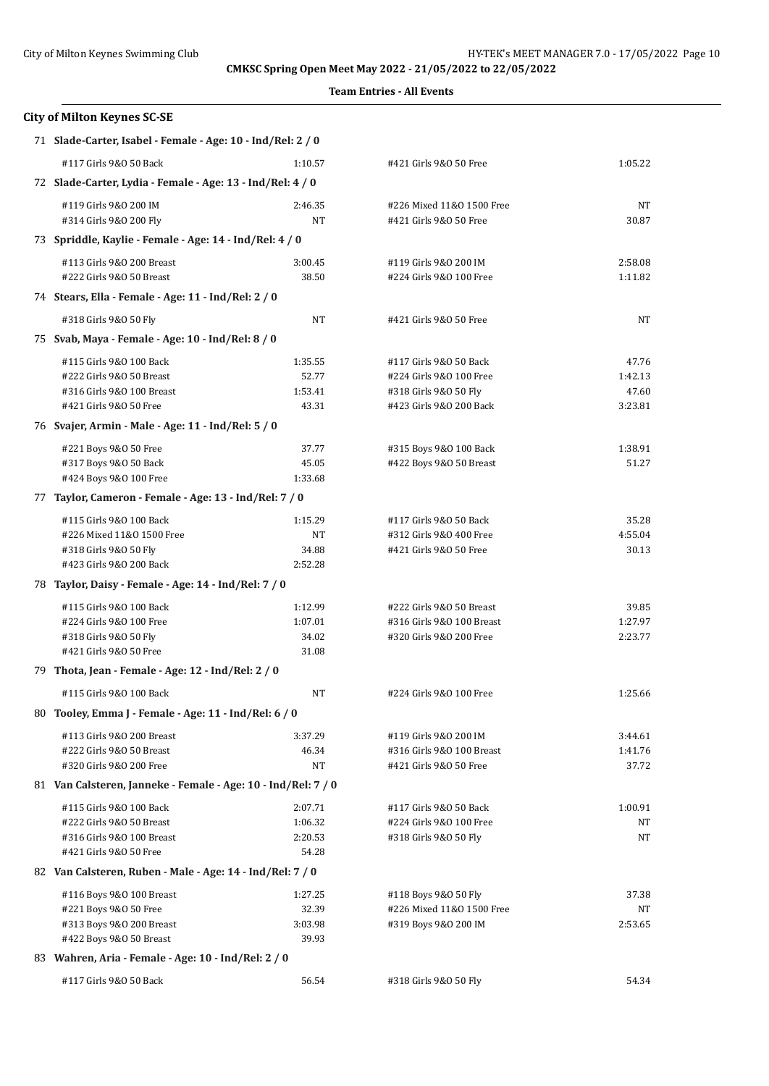|    | <b>City of Milton Keynes SC-SE</b>                            |         |                           |         |
|----|---------------------------------------------------------------|---------|---------------------------|---------|
|    | 71 Slade-Carter, Isabel - Female - Age: 10 - Ind/Rel: 2 / 0   |         |                           |         |
|    | #117 Girls 9&0 50 Back                                        | 1:10.57 | #421 Girls 9&0 50 Free    | 1:05.22 |
|    | 72 Slade-Carter, Lydia - Female - Age: 13 - Ind/Rel: 4 / 0    |         |                           |         |
|    | #119 Girls 9&0 200 IM                                         | 2:46.35 | #226 Mixed 11&0 1500 Free | NT      |
|    | #314 Girls 9&0 200 Fly                                        | NT      | #421 Girls 9&0 50 Free    | 30.87   |
|    | 73 Spriddle, Kaylie - Female - Age: 14 - Ind/Rel: 4 / 0       |         |                           |         |
|    | #113 Girls 9&0 200 Breast                                     | 3:00.45 | #119 Girls 9&0 200 IM     | 2:58.08 |
|    | #222 Girls 9&0 50 Breast                                      | 38.50   | #224 Girls 9&0 100 Free   | 1:11.82 |
|    | 74 Stears, Ella - Female - Age: 11 - Ind/Rel: 2 / 0           |         |                           |         |
|    | #318 Girls 9&0 50 Fly                                         | NT      | #421 Girls 9&0 50 Free    | NT      |
|    | 75 Svab, Maya - Female - Age: 10 - Ind/Rel: 8 / 0             |         |                           |         |
|    | #115 Girls 9&0 100 Back                                       | 1:35.55 | #117 Girls 9&0 50 Back    | 47.76   |
|    | #222 Girls 9&0 50 Breast                                      | 52.77   | #224 Girls 9&0 100 Free   | 1:42.13 |
|    | #316 Girls 9&0 100 Breast                                     | 1:53.41 | #318 Girls 9&0 50 Fly     | 47.60   |
|    | #421 Girls 9&0 50 Free                                        | 43.31   | #423 Girls 9&0 200 Back   | 3:23.81 |
|    | 76 Svajer, Armin - Male - Age: 11 - Ind/Rel: 5 / 0            |         |                           |         |
|    | #221 Boys 9&0 50 Free                                         | 37.77   | #315 Boys 9&0 100 Back    | 1:38.91 |
|    | #317 Boys 9&0 50 Back                                         | 45.05   | #422 Boys 9&0 50 Breast   | 51.27   |
|    | #424 Boys 9&0 100 Free                                        | 1:33.68 |                           |         |
| 77 | Taylor, Cameron - Female - Age: 13 - Ind/Rel: 7 / 0           |         |                           |         |
|    | #115 Girls 9&0 100 Back                                       | 1:15.29 | #117 Girls 9&0 50 Back    | 35.28   |
|    | #226 Mixed 11&0 1500 Free                                     | NT      | #312 Girls 9&0 400 Free   | 4:55.04 |
|    | #318 Girls 9&0 50 Fly                                         | 34.88   | #421 Girls 9&0 50 Free    | 30.13   |
|    | #423 Girls 9&0 200 Back                                       | 2:52.28 |                           |         |
|    | 78 Taylor, Daisy - Female - Age: 14 - Ind/Rel: 7 / 0          |         |                           |         |
|    | #115 Girls 9&0 100 Back                                       | 1:12.99 | #222 Girls 9&0 50 Breast  | 39.85   |
|    | #224 Girls 9&0 100 Free                                       | 1:07.01 | #316 Girls 9&0 100 Breast | 1:27.97 |
|    | #318 Girls 9&0 50 Fly                                         | 34.02   | #320 Girls 9&0 200 Free   | 2:23.77 |
|    | #421 Girls 9&0 50 Free                                        | 31.08   |                           |         |
|    | 79 Thota, Jean - Female - Age: 12 - Ind/Rel: 2 / 0            |         |                           |         |
|    | #115 Girls 9&0 100 Back                                       | NT      | #224 Girls 9&0 100 Free   | 1:25.66 |
|    | 80 Tooley, Emma J - Female - Age: 11 - Ind/Rel: 6 / 0         |         |                           |         |
|    | #113 Girls 9&0 200 Breast                                     | 3:37.29 | #119 Girls 9&0 200 IM     | 3:44.61 |
|    | #222 Girls 9&0 50 Breast                                      | 46.34   | #316 Girls 9&0 100 Breast | 1:41.76 |
|    | #320 Girls 9&0 200 Free                                       | NT      | #421 Girls 9&0 50 Free    | 37.72   |
|    | 81 Van Calsteren, Janneke - Female - Age: 10 - Ind/Rel: 7 / 0 |         |                           |         |
|    | #115 Girls 9&0 100 Back                                       | 2:07.71 | #117 Girls 9&0 50 Back    | 1:00.91 |
|    | #222 Girls 9&0 50 Breast                                      | 1:06.32 | #224 Girls 9&0 100 Free   | NΤ      |
|    | #316 Girls 9&0 100 Breast                                     | 2:20.53 | #318 Girls 9&0 50 Fly     | NT      |
|    | #421 Girls 9&0 50 Free                                        | 54.28   |                           |         |
|    | 82 Van Calsteren, Ruben - Male - Age: 14 - Ind/Rel: 7 / 0     |         |                           |         |
|    | #116 Boys 9&0 100 Breast                                      | 1:27.25 | #118 Boys 9&0 50 Fly      | 37.38   |
|    | #221 Boys 9&0 50 Free                                         | 32.39   | #226 Mixed 11&0 1500 Free | NT      |
|    | #313 Boys 9&0 200 Breast                                      | 3:03.98 | #319 Boys 9&0 200 IM      | 2:53.65 |
|    | #422 Boys 9&0 50 Breast                                       | 39.93   |                           |         |
|    | 83 Wahren, Aria - Female - Age: 10 - Ind/Rel: 2 / 0           |         |                           |         |
|    | #117 Girls 9&0 50 Back                                        | 56.54   | #318 Girls 9&0 50 Fly     | 54.34   |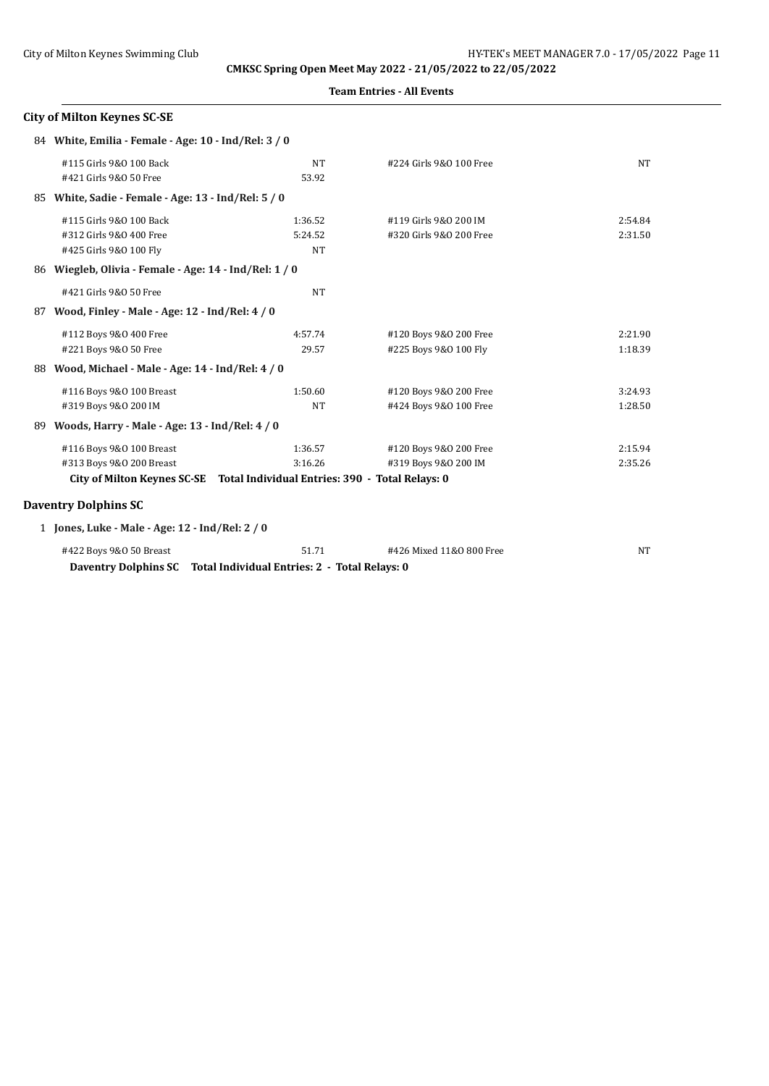|    | Team Enu les - An Events                                                    |           |                         |           |  |
|----|-----------------------------------------------------------------------------|-----------|-------------------------|-----------|--|
|    | <b>City of Milton Keynes SC-SE</b>                                          |           |                         |           |  |
|    | 84 White, Emilia - Female - Age: 10 - Ind/Rel: 3 / 0                        |           |                         |           |  |
|    | #115 Girls 9&0 100 Back                                                     | <b>NT</b> | #224 Girls 9&0 100 Free | <b>NT</b> |  |
|    | #421 Girls 9&0 50 Free                                                      | 53.92     |                         |           |  |
|    | 85 White, Sadie - Female - Age: 13 - Ind/Rel: 5 / 0                         |           |                         |           |  |
|    | #115 Girls 9&0 100 Back                                                     | 1:36.52   | #119 Girls 9&0 200 IM   | 2:54.84   |  |
|    | #312 Girls 9&0 400 Free                                                     | 5:24.52   | #320 Girls 9&0 200 Free | 2:31.50   |  |
|    | #425 Girls 9&0 100 Fly                                                      | <b>NT</b> |                         |           |  |
|    | 86 Wiegleb, Olivia - Female - Age: 14 - Ind/Rel: 1 / 0                      |           |                         |           |  |
|    | #421 Girls 9&0 50 Free                                                      | <b>NT</b> |                         |           |  |
| 87 | Wood, Finley - Male - Age: 12 - Ind/Rel: 4 / 0                              |           |                         |           |  |
|    | #112 Boys 9&0 400 Free                                                      | 4:57.74   | #120 Boys 9&0 200 Free  | 2:21.90   |  |
|    | #221 Boys 9&0 50 Free                                                       | 29.57     | #225 Boys 9&0 100 Fly   | 1:18.39   |  |
| 88 | Wood, Michael - Male - Age: 14 - Ind/Rel: 4 / 0                             |           |                         |           |  |
|    | #116 Boys 9&0 100 Breast                                                    | 1:50.60   | #120 Boys 9&0 200 Free  | 3:24.93   |  |
|    | #319 Boys 9&0 200 IM                                                        | <b>NT</b> | #424 Boys 9&0 100 Free  | 1:28.50   |  |
| 89 | Woods, Harry - Male - Age: 13 - Ind/Rel: 4 / 0                              |           |                         |           |  |
|    | #116 Boys 9&0 100 Breast                                                    | 1:36.57   | #120 Boys 9&0 200 Free  | 2:15.94   |  |
|    | #313 Boys 9&0 200 Breast                                                    | 3:16.26   | #319 Boys 9&0 200 IM    | 2:35.26   |  |
|    | City of Milton Keynes SC-SE Total Individual Entries: 390 - Total Relays: 0 |           |                         |           |  |
|    |                                                                             |           |                         |           |  |
|    | <b>Daventry Dolphins SC</b>                                                 |           |                         |           |  |
|    | 1 Jones, Luke - Male - Age: 12 - Ind/Rel: 2 / 0                             |           |                         |           |  |

| #422 Boys 9&0 50 Breast | 51.71                                                              | #426 Mixed 11&0 800 Free |  |
|-------------------------|--------------------------------------------------------------------|--------------------------|--|
|                         | Daventry Dolphins SC Total Individual Entries: 2 - Total Relays: 0 |                          |  |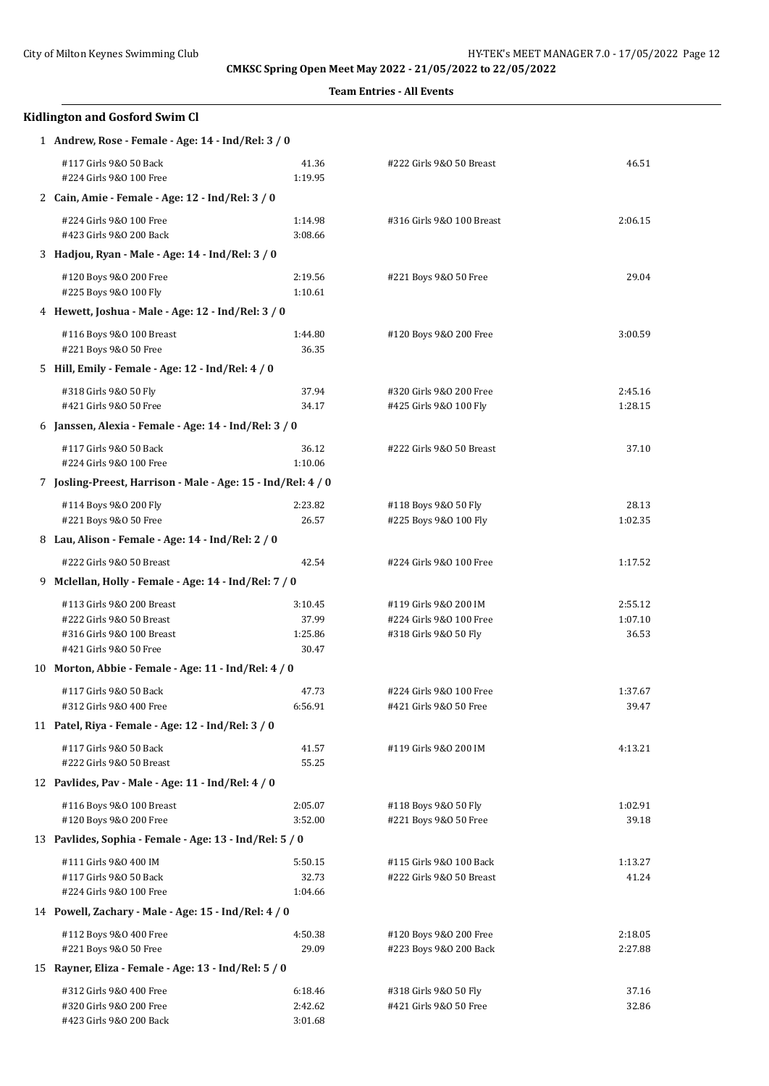|   | <b>Kidlington and Gosford Swim Cl</b>                                                                        |                                      |                                                                           |                             |  |  |
|---|--------------------------------------------------------------------------------------------------------------|--------------------------------------|---------------------------------------------------------------------------|-----------------------------|--|--|
|   | 1 Andrew, Rose - Female - Age: 14 - Ind/Rel: 3 / 0                                                           |                                      |                                                                           |                             |  |  |
|   | #117 Girls 9&0 50 Back<br>#224 Girls 9&0 100 Free                                                            | 41.36<br>1:19.95                     | #222 Girls 9&0 50 Breast                                                  | 46.51                       |  |  |
|   | 2 Cain, Amie - Female - Age: 12 - Ind/Rel: 3 / 0                                                             |                                      |                                                                           |                             |  |  |
|   | #224 Girls 9&0 100 Free<br>#423 Girls 9&0 200 Back                                                           | 1:14.98<br>3:08.66                   | #316 Girls 9&0 100 Breast                                                 | 2:06.15                     |  |  |
|   | 3 Hadjou, Ryan - Male - Age: 14 - Ind/Rel: 3 / 0                                                             |                                      |                                                                           |                             |  |  |
|   | #120 Boys 9&0 200 Free<br>#225 Boys 9&0 100 Fly                                                              | 2:19.56<br>1:10.61                   | #221 Boys 9&0 50 Free                                                     | 29.04                       |  |  |
|   | 4 Hewett, Joshua - Male - Age: 12 - Ind/Rel: 3 / 0                                                           |                                      |                                                                           |                             |  |  |
|   | #116 Boys 9&0 100 Breast<br>#221 Boys 9&0 50 Free                                                            | 1:44.80<br>36.35                     | #120 Boys 9&0 200 Free                                                    | 3:00.59                     |  |  |
|   | 5 Hill, Emily - Female - Age: 12 - Ind/Rel: 4 / 0                                                            |                                      |                                                                           |                             |  |  |
|   | #318 Girls 9&0 50 Fly<br>#421 Girls 9&0 50 Free                                                              | 37.94<br>34.17                       | #320 Girls 9&0 200 Free<br>#425 Girls 9&0 100 Fly                         | 2:45.16<br>1:28.15          |  |  |
|   | 6 Janssen, Alexia - Female - Age: 14 - Ind/Rel: 3 / 0                                                        |                                      |                                                                           |                             |  |  |
|   | #117 Girls 9&0 50 Back<br>#224 Girls 9&0 100 Free                                                            | 36.12<br>1:10.06                     | #222 Girls 9&0 50 Breast                                                  | 37.10                       |  |  |
|   | 7 Josling-Preest, Harrison - Male - Age: 15 - Ind/Rel: 4 / 0                                                 |                                      |                                                                           |                             |  |  |
|   | #114 Boys 9&0 200 Fly<br>#221 Boys 9&0 50 Free                                                               | 2:23.82<br>26.57                     | #118 Boys 9&0 50 Fly<br>#225 Boys 9&0 100 Fly                             | 28.13<br>1:02.35            |  |  |
|   | 8 Lau, Alison - Female - Age: 14 - Ind/Rel: 2 / 0                                                            |                                      |                                                                           |                             |  |  |
|   | #222 Girls 9&0 50 Breast                                                                                     | 42.54                                | #224 Girls 9&0 100 Free                                                   | 1:17.52                     |  |  |
| 9 | Mclellan, Holly - Female - Age: 14 - Ind/Rel: 7 / 0                                                          |                                      |                                                                           |                             |  |  |
|   | #113 Girls 9&0 200 Breast<br>#222 Girls 9&0 50 Breast<br>#316 Girls 9&0 100 Breast<br>#421 Girls 9&0 50 Free | 3:10.45<br>37.99<br>1:25.86<br>30.47 | #119 Girls 9&0 200 IM<br>#224 Girls 9&0 100 Free<br>#318 Girls 9&0 50 Fly | 2:55.12<br>1:07.10<br>36.53 |  |  |
|   | 10 Morton, Abbie - Female - Age: 11 - Ind/Rel: 4 / 0                                                         |                                      |                                                                           |                             |  |  |
|   | #117 Girls 9&0 50 Back<br>#312 Girls 9&0 400 Free                                                            | 47.73<br>6:56.91                     | #224 Girls 9&0 100 Free<br>#421 Girls 9&0 50 Free                         | 1:37.67<br>39.47            |  |  |
|   | 11 Patel, Riya - Female - Age: 12 - Ind/Rel: 3 / 0                                                           |                                      |                                                                           |                             |  |  |
|   | #117 Girls 9&0 50 Back<br>#222 Girls 9&0 50 Breast                                                           | 41.57<br>55.25                       | #119 Girls 9&0 200 IM                                                     | 4:13.21                     |  |  |
|   | 12 Pavlides, Pav - Male - Age: 11 - Ind/Rel: 4 / 0                                                           |                                      |                                                                           |                             |  |  |
|   | #116 Boys 9&0 100 Breast<br>#120 Boys 9&0 200 Free                                                           | 2:05.07<br>3:52.00                   | #118 Boys 9&0 50 Fly<br>#221 Boys 9&0 50 Free                             | 1:02.91<br>39.18            |  |  |
|   | 13 Pavlides, Sophia - Female - Age: 13 - Ind/Rel: 5 / 0                                                      |                                      |                                                                           |                             |  |  |
|   | #111 Girls 9&0 400 IM<br>#117 Girls 9&0 50 Back<br>#224 Girls 9&0 100 Free                                   | 5:50.15<br>32.73<br>1:04.66          | #115 Girls 9&0 100 Back<br>#222 Girls 9&0 50 Breast                       | 1:13.27<br>41.24            |  |  |
|   | 14 Powell, Zachary - Male - Age: 15 - Ind/Rel: 4 / 0                                                         |                                      |                                                                           |                             |  |  |
|   | #112 Boys 9&0 400 Free<br>#221 Boys 9&0 50 Free                                                              | 4:50.38<br>29.09                     | #120 Boys 9&0 200 Free<br>#223 Boys 9&0 200 Back                          | 2:18.05<br>2:27.88          |  |  |
|   | 15 Rayner, Eliza - Female - Age: 13 - Ind/Rel: 5 / 0                                                         |                                      |                                                                           |                             |  |  |
|   | #312 Girls 9&0 400 Free<br>#320 Girls 9&0 200 Free<br>#423 Girls 9&0 200 Back                                | 6:18.46<br>2:42.62<br>3:01.68        | #318 Girls 9&0 50 Fly<br>#421 Girls 9&0 50 Free                           | 37.16<br>32.86              |  |  |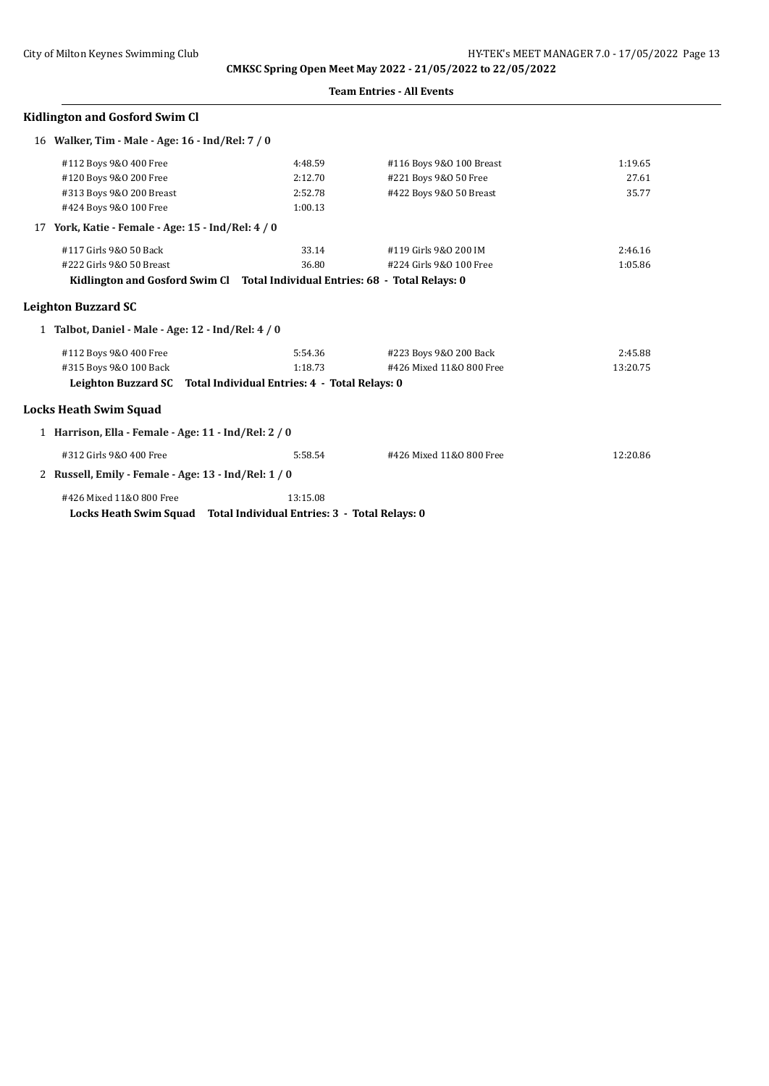|  | <b>Team Entries - All Events</b> |  |  |
|--|----------------------------------|--|--|
|--|----------------------------------|--|--|

## **Kidlington and Gosford Swim Cl**

|    | 16 Walker, Tim - Male - Age: 16 - Ind/Rel: 7 / 0                              |          |                          |          |  |
|----|-------------------------------------------------------------------------------|----------|--------------------------|----------|--|
|    | #112 Boys 9&0 400 Free                                                        | 4:48.59  | #116 Boys 9&0 100 Breast | 1:19.65  |  |
|    | #120 Boys 9&0 200 Free                                                        | 2:12.70  | #221 Boys 9&0 50 Free    | 27.61    |  |
|    | #313 Boys 9&0 200 Breast                                                      | 2:52.78  | #422 Boys 9&0 50 Breast  | 35.77    |  |
|    | #424 Boys 9&0 100 Free                                                        | 1:00.13  |                          |          |  |
| 17 | York, Katie - Female - Age: 15 - Ind/Rel: 4 / 0                               |          |                          |          |  |
|    | #117 Girls 9&0 50 Back                                                        | 33.14    | #119 Girls 9&0 200 IM    | 2:46.16  |  |
|    | #222 Girls 9&0 50 Breast                                                      | 36.80    | #224 Girls 9&0 100 Free  | 1:05.86  |  |
|    | Kidlington and Gosford Swim Cl Total Individual Entries: 68 - Total Relays: 0 |          |                          |          |  |
|    | Leighton Buzzard SC                                                           |          |                          |          |  |
|    | 1 Talbot, Daniel - Male - Age: 12 - Ind/Rel: 4 / 0                            |          |                          |          |  |
|    | #112 Boys 9&0 400 Free                                                        | 5:54.36  | #223 Boys 9&0 200 Back   | 2:45.88  |  |
|    | #315 Boys 9&0 100 Back                                                        | 1:18.73  | #426 Mixed 11&0 800 Free | 13:20.75 |  |
|    | Leighton Buzzard SC Total Individual Entries: 4 - Total Relays: 0             |          |                          |          |  |
|    | Locks Heath Swim Squad                                                        |          |                          |          |  |
|    | 1 Harrison, Ella - Female - Age: 11 - Ind/Rel: 2 / 0                          |          |                          |          |  |
|    | #312 Girls 9&0 400 Free                                                       | 5:58.54  | #426 Mixed 11&0 800 Free | 12:20.86 |  |
|    | 2 Russell, Emily - Female - Age: 13 - Ind/Rel: 1 / 0                          |          |                          |          |  |
|    | #426 Mixed 11&0 800 Free                                                      | 13:15.08 |                          |          |  |
|    | Locks Heath Swim Squad Total Individual Entries: 3 - Total Relays: 0          |          |                          |          |  |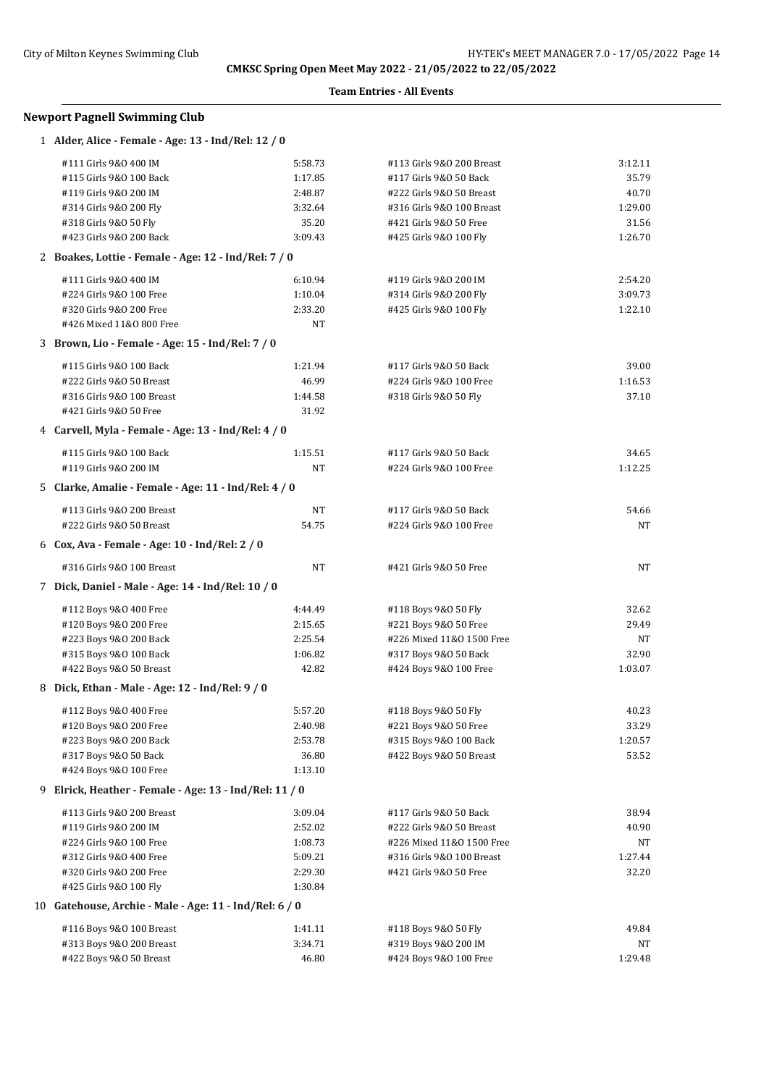**Team Entries - All Events**

## **Newport Pagnell Swimming Club**

| 1 Alder, Alice - Female - Age: 13 - Ind/Rel: 12 / 0    |           |                           |         |
|--------------------------------------------------------|-----------|---------------------------|---------|
| #111 Girls 9&0 400 IM                                  | 5:58.73   | #113 Girls 9&0 200 Breast | 3:12.11 |
| #115 Girls 9&0 100 Back                                | 1:17.85   | #117 Girls 9&0 50 Back    | 35.79   |
| #119 Girls 9&0 200 IM                                  | 2:48.87   | #222 Girls 9&0 50 Breast  | 40.70   |
| #314 Girls 9&0 200 Fly                                 | 3:32.64   | #316 Girls 9&0 100 Breast | 1:29.00 |
| #318 Girls 9&0 50 Fly                                  | 35.20     | #421 Girls 9&0 50 Free    | 31.56   |
| #423 Girls 9&0 200 Back                                | 3:09.43   | #425 Girls 9&0 100 Fly    | 1:26.70 |
| 2 Boakes, Lottie - Female - Age: 12 - Ind/Rel: 7 / 0   |           |                           |         |
| #111 Girls 9&0 400 IM                                  | 6:10.94   | #119 Girls 9&0 200 IM     | 2:54.20 |
| #224 Girls 9&0 100 Free                                | 1:10.04   | #314 Girls 9&0 200 Fly    | 3:09.73 |
| #320 Girls 9&0 200 Free                                | 2:33.20   | #425 Girls 9&0 100 Fly    | 1:22.10 |
| #426 Mixed 11&0 800 Free                               | <b>NT</b> |                           |         |
| 3 Brown, Lio - Female - Age: 15 - Ind/Rel: 7 / 0       |           |                           |         |
| #115 Girls 9&0 100 Back                                | 1:21.94   | #117 Girls 9&0 50 Back    | 39.00   |
| #222 Girls 9&0 50 Breast                               | 46.99     | #224 Girls 9&0 100 Free   | 1:16.53 |
| #316 Girls 9&0 100 Breast                              | 1:44.58   | #318 Girls 9&0 50 Fly     | 37.10   |
| #421 Girls 9&0 50 Free                                 | 31.92     |                           |         |
| 4 Carvell, Myla - Female - Age: 13 - Ind/Rel: 4 / 0    |           |                           |         |
| #115 Girls 9&0 100 Back                                | 1:15.51   | #117 Girls 9&0 50 Back    | 34.65   |
| #119 Girls 9&0 200 IM                                  | NT        | #224 Girls 9&0 100 Free   | 1:12.25 |
| 5 Clarke, Amalie - Female - Age: 11 - Ind/Rel: 4 / 0   |           |                           |         |
| #113 Girls 9&0 200 Breast                              | NT        | #117 Girls 9&0 50 Back    | 54.66   |
| #222 Girls 9&0 50 Breast                               | 54.75     | #224 Girls 9&0 100 Free   | NT      |
| 6 Cox, Ava - Female - Age: 10 - Ind/Rel: 2 / 0         |           |                           |         |
| #316 Girls 9&0 100 Breast                              | NT        | #421 Girls 9&0 50 Free    | NT      |
| 7 Dick, Daniel - Male - Age: 14 - Ind/Rel: 10 / 0      |           |                           |         |
| #112 Boys 9&0 400 Free                                 | 4:44.49   | #118 Boys 9&0 50 Fly      | 32.62   |
| #120 Boys 9&0 200 Free                                 | 2:15.65   | #221 Boys 9&0 50 Free     | 29.49   |
| #223 Boys 9&0 200 Back                                 | 2:25.54   | #226 Mixed 11&0 1500 Free | NT      |
| #315 Boys 9&0 100 Back                                 | 1:06.82   | #317 Boys 9&0 50 Back     | 32.90   |
| #422 Boys 9&0 50 Breast                                | 42.82     | #424 Boys 9&0 100 Free    | 1:03.07 |
| 8 Dick, Ethan - Male - Age: 12 - Ind/Rel: 9 / 0        |           |                           |         |
| #112 Boys 9&0 400 Free                                 | 5:57.20   | #118 Boys 9&0 50 Fly      | 40.23   |
| #120 Boys 9&0 200 Free                                 | 2:40.98   | #221 Boys 9&0 50 Free     | 33.29   |
| #223 Boys 9&0 200 Back                                 | 2:53.78   | #315 Boys 9&0 100 Back    | 1:20.57 |
| #317 Boys 9&0 50 Back                                  | 36.80     | #422 Boys 9&0 50 Breast   | 53.52   |
| #424 Boys 9&0 100 Free                                 | 1:13.10   |                           |         |
| 9 Elrick, Heather - Female - Age: 13 - Ind/Rel: 11 / 0 |           |                           |         |
| #113 Girls 9&0 200 Breast                              | 3:09.04   | #117 Girls 9&0 50 Back    | 38.94   |
| #119 Girls 9&0 200 IM                                  | 2:52.02   | #222 Girls 9&0 50 Breast  | 40.90   |
| #224 Girls 9&0 100 Free                                | 1:08.73   | #226 Mixed 11&0 1500 Free | NT      |
| #312 Girls 9&0 400 Free                                | 5:09.21   | #316 Girls 9&0 100 Breast | 1:27.44 |
| #320 Girls 9&0 200 Free                                | 2:29.30   | #421 Girls 9&0 50 Free    | 32.20   |
| #425 Girls 9&0 100 Fly                                 | 1:30.84   |                           |         |
| 10 Gatehouse, Archie - Male - Age: 11 - Ind/Rel: 6 / 0 |           |                           |         |
| #116 Boys 9&0 100 Breast                               | 1:41.11   | #118 Boys 9&0 50 Fly      | 49.84   |
| #313 Boys 9&0 200 Breast                               | 3:34.71   | #319 Boys 9&0 200 IM      | NT      |
| #422 Boys 9&0 50 Breast                                | 46.80     | #424 Boys 9&0 100 Free    | 1:29.48 |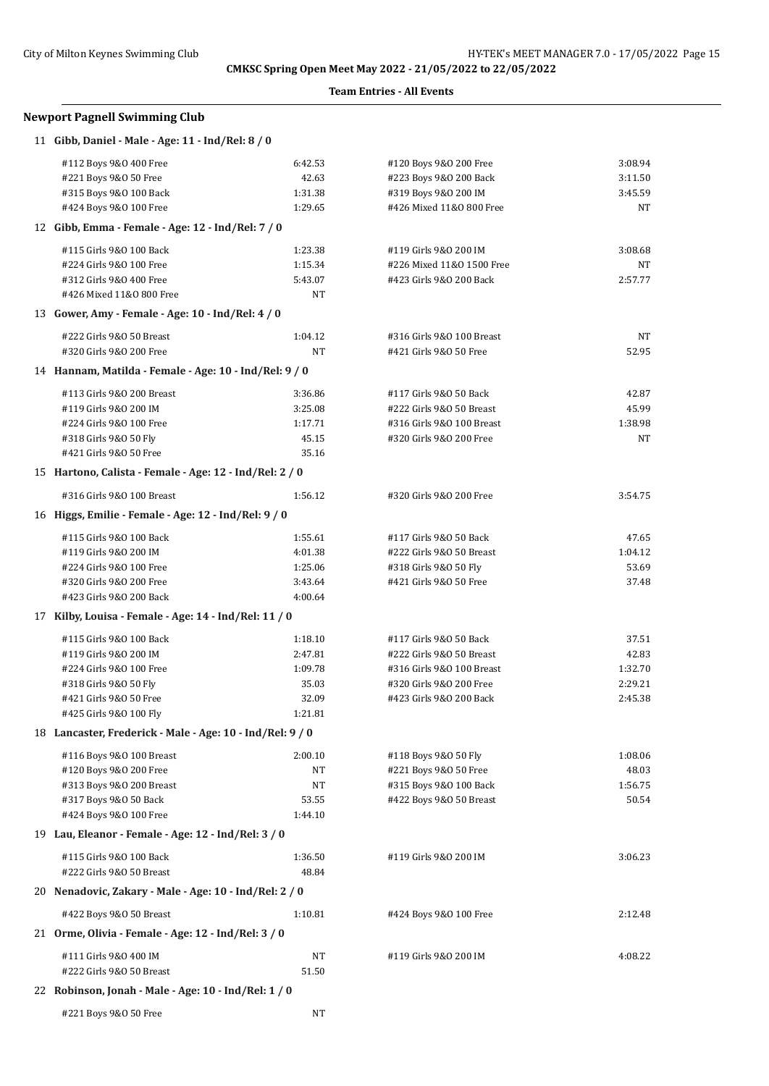#### **Team Entries - All Events**

## **Newport Pagnell Swimming Club**

| 11 Gibb, Daniel - Male - Age: 11 - Ind/Rel: 8 / 0                             |           |                           |         |
|-------------------------------------------------------------------------------|-----------|---------------------------|---------|
| #112 Boys 9&0 400 Free                                                        | 6:42.53   | #120 Boys 9&0 200 Free    | 3:08.94 |
| #221 Boys 9&0 50 Free                                                         | 42.63     | #223 Boys 9&0 200 Back    | 3:11.50 |
| #315 Boys 9&0 100 Back                                                        | 1:31.38   | #319 Boys 9&0 200 IM      | 3:45.59 |
| #424 Boys 9&0 100 Free                                                        | 1:29.65   | #426 Mixed 11&0 800 Free  | NT      |
| 12 Gibb, Emma - Female - Age: 12 - Ind/Rel: 7 / 0                             |           |                           |         |
| #115 Girls 9&0 100 Back                                                       | 1:23.38   | #119 Girls 9&0 200 IM     | 3:08.68 |
| #224 Girls 9&0 100 Free                                                       | 1:15.34   | #226 Mixed 11&0 1500 Free | NT      |
| #312 Girls 9&0 400 Free                                                       | 5:43.07   | #423 Girls 9&0 200 Back   | 2:57.77 |
| #426 Mixed 11&0 800 Free                                                      | NT        |                           |         |
| 13 Gower, Amy - Female - Age: 10 - Ind/Rel: 4 / 0                             |           |                           |         |
| #222 Girls 9&0 50 Breast                                                      | 1:04.12   | #316 Girls 9&0 100 Breast | NT      |
| #320 Girls 9&0 200 Free                                                       | NT        | #421 Girls 9&0 50 Free    | 52.95   |
| 14 Hannam, Matilda - Female - Age: 10 - Ind/Rel: 9 / 0                        |           |                           |         |
| #113 Girls 9&0 200 Breast                                                     | 3:36.86   | #117 Girls 9&0 50 Back    | 42.87   |
| #119 Girls 9&0 200 IM                                                         | 3:25.08   | #222 Girls 9&0 50 Breast  | 45.99   |
| #224 Girls 9&0 100 Free                                                       | 1:17.71   | #316 Girls 9&0 100 Breast | 1:38.98 |
| #318 Girls 9&0 50 Fly                                                         | 45.15     | #320 Girls 9&0 200 Free   | NT      |
| #421 Girls 9&0 50 Free                                                        | 35.16     |                           |         |
| 15 Hartono, Calista - Female - Age: 12 - Ind/Rel: 2 / 0                       |           |                           |         |
| #316 Girls 9&0 100 Breast                                                     | 1:56.12   | #320 Girls 9&0 200 Free   | 3:54.75 |
| 16 Higgs, Emilie - Female - Age: 12 - Ind/Rel: 9 / 0                          |           |                           |         |
| #115 Girls 9&0 100 Back                                                       | 1:55.61   | #117 Girls 9&0 50 Back    | 47.65   |
| #119 Girls 9&0 200 IM                                                         | 4:01.38   | #222 Girls 9&0 50 Breast  | 1:04.12 |
| #224 Girls 9&0 100 Free                                                       | 1:25.06   | #318 Girls 9&0 50 Fly     | 53.69   |
| #320 Girls 9&0 200 Free                                                       | 3:43.64   | #421 Girls 9&0 50 Free    | 37.48   |
| #423 Girls 9&0 200 Back                                                       | 4:00.64   |                           |         |
| 17 Kilby, Louisa - Female - Age: 14 - Ind/Rel: 11 / 0                         |           |                           |         |
| #115 Girls 9&0 100 Back                                                       | 1:18.10   | #117 Girls 9&0 50 Back    | 37.51   |
| #119 Girls 9&0 200 IM                                                         | 2:47.81   | #222 Girls 9&0 50 Breast  | 42.83   |
| #224 Girls 9&0 100 Free                                                       | 1:09.78   | #316 Girls 9&0 100 Breast | 1:32.70 |
| #318 Girls 9&0 50 Fly                                                         | 35.03     | #320 Girls 9&0 200 Free   | 2:29.21 |
| #421 Girls 9&0 50 Free                                                        | 32.09     | #423 Girls 9&0 200 Back   | 2:45.38 |
| #425 Girls 9&0 100 Fly                                                        | 1:21.81   |                           |         |
| 18 Lancaster, Frederick - Male - Age: 10 - Ind/Rel: 9 / 0                     |           |                           |         |
| #116 Boys 9&0 100 Breast                                                      | 2:00.10   | #118 Boys 9&0 50 Fly      | 1:08.06 |
| #120 Boys 9&0 200 Free                                                        | NT        | #221 Boys 9&0 50 Free     | 48.03   |
| #313 Boys 9&0 200 Breast                                                      | NT        | #315 Boys 9&0 100 Back    | 1:56.75 |
| #317 Boys 9&0 50 Back                                                         | 53.55     | #422 Boys 9&0 50 Breast   | 50.54   |
| #424 Boys 9&0 100 Free<br>19 Lau, Eleanor - Female - Age: 12 - Ind/Rel: 3 / 0 | 1:44.10   |                           |         |
|                                                                               |           |                           |         |
| #115 Girls 9&0 100 Back                                                       | 1:36.50   | #119 Girls 9&0 200 IM     | 3:06.23 |
| #222 Girls 9&0 50 Breast                                                      | 48.84     |                           |         |
| 20 Nenadovic, Zakary - Male - Age: 10 - Ind/Rel: 2 / 0                        |           |                           |         |
| #422 Boys 9&0 50 Breast                                                       | 1:10.81   | #424 Boys 9&0 100 Free    | 2:12.48 |
| 21 Orme, Olivia - Female - Age: 12 - Ind/Rel: 3 / 0                           |           |                           |         |
| #111 Girls 9&0 400 IM                                                         | NT        | #119 Girls 9&0 200 IM     | 4:08.22 |
| #222 Girls 9&0 50 Breast                                                      | 51.50     |                           |         |
| 22 Robinson, Jonah - Male - Age: 10 - Ind/Rel: 1 / 0                          |           |                           |         |
| #221 Boys 9&0 50 Free                                                         | <b>NT</b> |                           |         |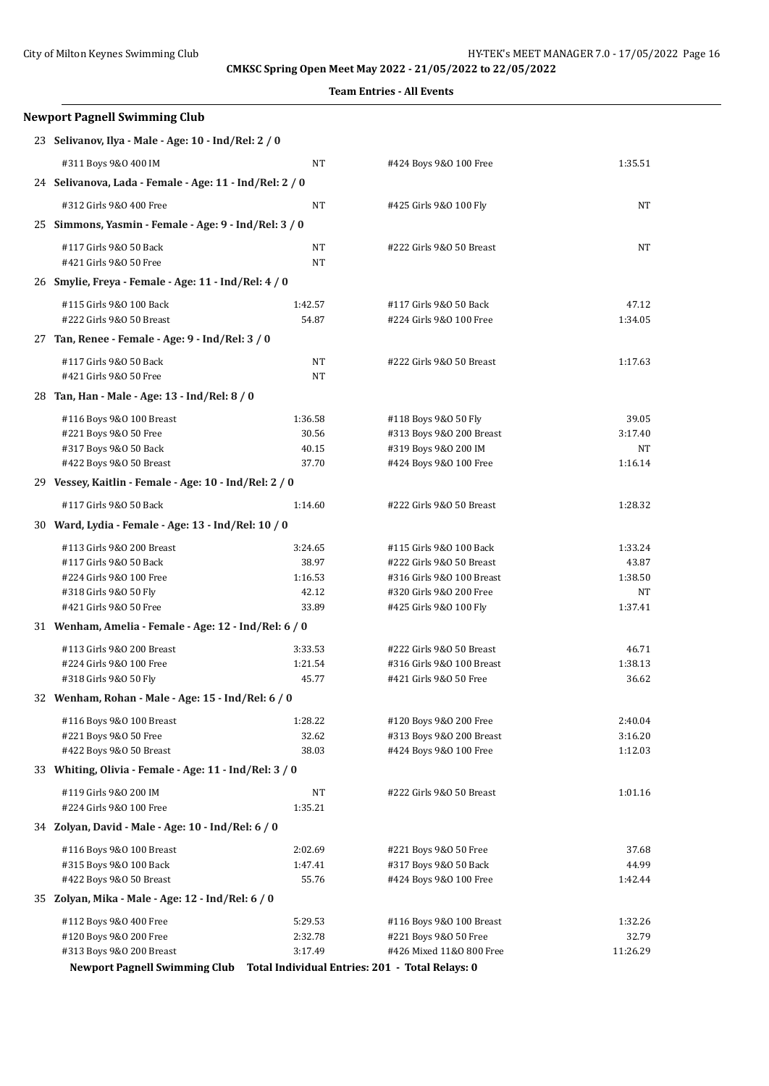| Newport Pagnell Swimming Club                                                 |                    |                                                     |                   |  |
|-------------------------------------------------------------------------------|--------------------|-----------------------------------------------------|-------------------|--|
| 23 Selivanov, Ilya - Male - Age: 10 - Ind/Rel: 2 / 0                          |                    |                                                     |                   |  |
| #311 Boys 9&0 400 IM                                                          | NT                 | #424 Boys 9&0 100 Free                              | 1:35.51           |  |
| 24 Selivanova, Lada - Female - Age: 11 - Ind/Rel: 2 / 0                       |                    |                                                     |                   |  |
| #312 Girls 9&0 400 Free                                                       | NT                 | #425 Girls 9&0 100 Fly                              | NT                |  |
| 25 Simmons, Yasmin - Female - Age: 9 - Ind/Rel: 3 / 0                         |                    |                                                     |                   |  |
| #117 Girls 9&0 50 Back                                                        | NT                 | #222 Girls 9&0 50 Breast                            | NT                |  |
| #421 Girls 9&0 50 Free                                                        | NT                 |                                                     |                   |  |
| 26 Smylie, Freya - Female - Age: 11 - Ind/Rel: 4 / 0                          |                    |                                                     |                   |  |
| #115 Girls 9&0 100 Back                                                       | 1:42.57            | #117 Girls 9&0 50 Back                              | 47.12             |  |
| #222 Girls 9&0 50 Breast                                                      | 54.87              | #224 Girls 9&0 100 Free                             | 1:34.05           |  |
| 27 Tan, Renee - Female - Age: 9 - Ind/Rel: 3 / 0                              |                    |                                                     |                   |  |
| #117 Girls 9&0 50 Back                                                        | NT                 | #222 Girls 9&0 50 Breast                            | 1:17.63           |  |
| #421 Girls 9&0 50 Free                                                        | NT                 |                                                     |                   |  |
| 28 Tan, Han - Male - Age: 13 - Ind/Rel: 8 / 0                                 |                    |                                                     |                   |  |
| #116 Boys 9&0 100 Breast                                                      | 1:36.58            | #118 Boys 9&0 50 Fly                                | 39.05             |  |
| #221 Boys 9&0 50 Free                                                         | 30.56              | #313 Boys 9&0 200 Breast                            | 3:17.40           |  |
| #317 Boys 9&0 50 Back<br>#422 Boys 9&0 50 Breast                              | 40.15<br>37.70     | #319 Boys 9&0 200 IM<br>#424 Boys 9&0 100 Free      | NΤ<br>1:16.14     |  |
| 29 Vessey, Kaitlin - Female - Age: 10 - Ind/Rel: 2 / 0                        |                    |                                                     |                   |  |
| #117 Girls 9&0 50 Back                                                        | 1:14.60            | #222 Girls 9&0 50 Breast                            | 1:28.32           |  |
| 30 Ward, Lydia - Female - Age: 13 - Ind/Rel: 10 / 0                           |                    |                                                     |                   |  |
|                                                                               |                    |                                                     |                   |  |
| #113 Girls 9&0 200 Breast<br>#117 Girls 9&0 50 Back                           | 3:24.65<br>38.97   | #115 Girls 9&0 100 Back<br>#222 Girls 9&0 50 Breast | 1:33.24<br>43.87  |  |
| #224 Girls 9&0 100 Free                                                       | 1:16.53            | #316 Girls 9&0 100 Breast                           | 1:38.50           |  |
| #318 Girls 9&0 50 Fly                                                         | 42.12              | #320 Girls 9&0 200 Free                             | NΤ                |  |
| #421 Girls 9&0 50 Free                                                        | 33.89              | #425 Girls 9&0 100 Fly                              | 1:37.41           |  |
| 31 Wenham, Amelia - Female - Age: 12 - Ind/Rel: 6 / 0                         |                    |                                                     |                   |  |
| #113 Girls 9&0 200 Breast                                                     | 3:33.53            | #222 Girls 9&0 50 Breast                            | 46.71             |  |
| #224 Girls 9&0 100 Free                                                       | 1:21.54            | #316 Girls 9&0 100 Breast                           | 1:38.13           |  |
| #318 Girls 9&0 50 Fly                                                         | 45.77              | #421 Girls 9&0 50 Free                              | 36.62             |  |
| 32 Wenham, Rohan - Male - Age: 15 - Ind/Rel: 6 / 0                            |                    |                                                     |                   |  |
| #116 Boys 9&0 100 Breast                                                      | 1:28.22            | #120 Boys 9&0 200 Free                              | 2:40.04           |  |
| #221 Boys 9&0 50 Free                                                         | 32.62              | #313 Boys 9&0 200 Breast                            | 3:16.20           |  |
| #422 Boys 9&0 50 Breast                                                       | 38.03              | #424 Boys 9&0 100 Free                              | 1:12.03           |  |
| 33 Whiting, Olivia - Female - Age: 11 - Ind/Rel: 3 / 0                        |                    |                                                     |                   |  |
| #119 Girls 9&0 200 IM                                                         | NT                 | #222 Girls 9&0 50 Breast                            | 1:01.16           |  |
| #224 Girls 9&0 100 Free                                                       | 1:35.21            |                                                     |                   |  |
| 34 Zolyan, David - Male - Age: 10 - Ind/Rel: 6 / 0                            |                    |                                                     |                   |  |
| #116 Boys 9&0 100 Breast                                                      | 2:02.69            | #221 Boys 9&0 50 Free                               | 37.68             |  |
| #315 Boys 9&0 100 Back                                                        | 1:47.41            | #317 Boys 9&0 50 Back                               | 44.99             |  |
| #422 Boys 9&0 50 Breast                                                       | 55.76              | #424 Boys 9&0 100 Free                              | 1:42.44           |  |
| 35 Zolyan, Mika - Male - Age: 12 - Ind/Rel: 6 / 0                             |                    |                                                     |                   |  |
| #112 Boys 9&0 400 Free                                                        | 5:29.53            | #116 Boys 9&0 100 Breast                            | 1:32.26           |  |
| #120 Boys 9&0 200 Free<br>#313 Boys 9&0 200 Breast                            | 2:32.78<br>3:17.49 | #221 Boys 9&0 50 Free<br>#426 Mixed 11&0 800 Free   | 32.79<br>11:26.29 |  |
|                                                                               |                    |                                                     |                   |  |
| Newport Pagnell Swimming Club Total Individual Entries: 201 - Total Relays: 0 |                    |                                                     |                   |  |